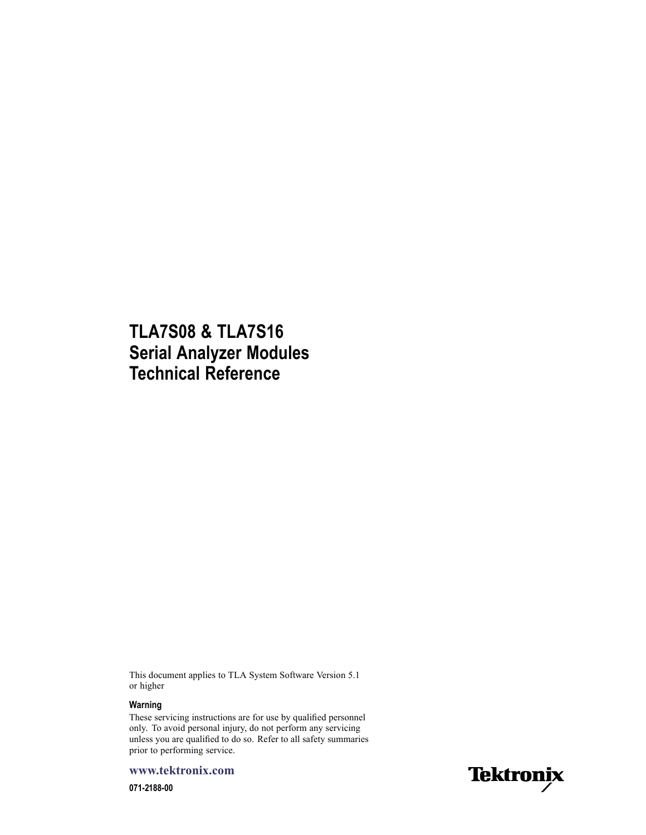### **TLA7S08 & TLA7S16 Serial Analyzer Modules Technical Reference**

This document applies to TLA System Software Version 5.1 or higher

#### **Warning**

These servicing instructions are for use by qualified personnel only. To avoid personal injury, do not perform any servicing unless you are qualified to do so. Refer to all safety summaries prior to performing service.

**www.tektronix.com**

**071-2188-00**

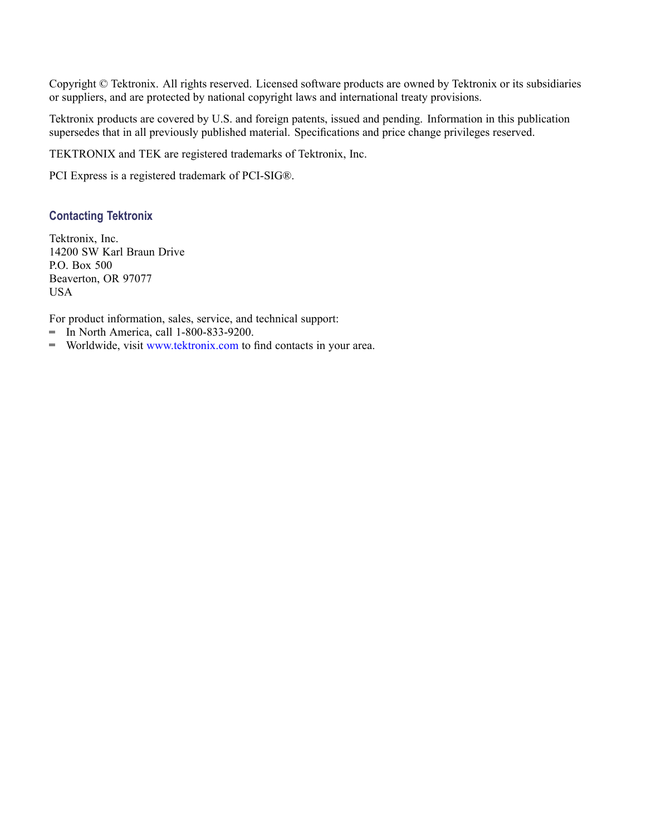Copyright © Tektronix. All rights reserved. Licensed software products are owned by Tektronix or its subsidiaries or suppliers, and are protected by national copyright laws and international treaty provisions.

Tektronix products are covered by U.S. and foreign patents, issued and pending. Information in this publication supersedes that in all previously published material. Specifications and price change privileges reserved.

TEKTRONIX and TEK are registered trademarks of Tektronix, Inc.

PCI Express is a registered trademark of PCI-SIG®.

#### **Contacting Tektronix**

Tektronix, Inc. 14200 SW Karl Braun Drive P.O. Box 500 Beaverton, OR 97077 USA

For product information, sales, service, and technical support:

- $\blacksquare$  In North America, call 1-800-833-9200.
- Worldwide, visit [www.tektronix.com](http://www.tektronix.com/contact) to find contacts in your area.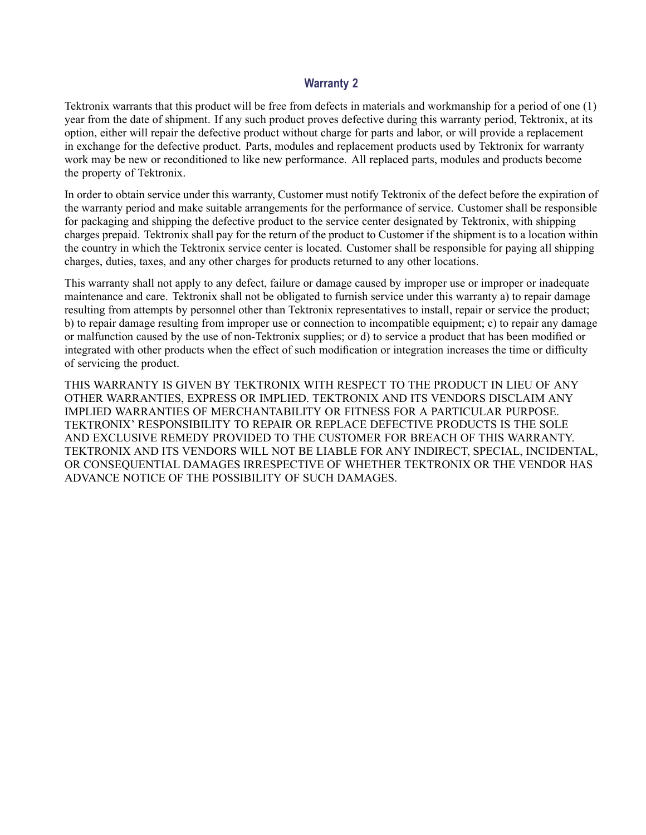#### **Warranty 2**

Tektronix warrants that this product will be free from defects in materials and workmanship for a period of one (1) year from the date of shipment. If any such product proves defective during this warranty period, Tektronix, at its option, either will repair the defective product without charge for parts and labor, or will provide a replacement in exchange for the defective product. Parts, modules and replacement products used by Tektronix for warranty work may be new or reconditioned to like new performance. All replaced parts, modules and products become the property of Tektronix.

In order to obtain service under this warranty, Customer must notify Tektronix of the defect before the expiration of the warranty period and make suitable arrangements for the performance of service. Customer shall be responsible for packaging and shipping the defective product to the service center designated by Tektronix, with shipping charges prepaid. Tektronix shall pay for the return of the product to Customer if the shipment is to a location within the country in which the Tektronix service center is located. Customer shall be responsible for paying all shipping charges, duties, taxes, and any other charges for products returned to any other locations.

This warranty shall not apply to any defect, failure or damage caused by improper use or improper or inadequate maintenance and care. Tektronix shall not be obligated to furnish service under this warranty a) to repair damage resulting from attempts by personnel other than Tektronix representatives to install, repair or service the product; b) to repair damage resulting from improper use or connection to incompatible equipment; c) to repair any damage or malfunction caused by the use of non-Tektronix supplies; or d) to service a product that has been modified or integrated with other products when the effect of such modification or integration increases the time or difficulty of servicing the product.

THIS WARRANTY IS GIVEN BY TEKTRONIX WITH RESPECT TO THE PRODUCT IN LIEU OF ANY OTHER WARRANTIES, EXPRESS OR IMPLIED. TEKTRONIX AND ITS VENDORS DISCLAIM ANY IMPLIED WARRANTIES OF MERCHANTABILITY OR FITNESS FOR A PARTICULAR PURPOSE. TEKTRONIX' RESPONSIBILITY TO REPAIR OR REPLACE DEFECTIVE PRODUCTS IS THE SOLE AND EXCLUSIVE REMEDY PROVIDED TO THE CUSTOMER FOR BREACH OF THIS WARRANTY. TEKTRONIX AND ITS VENDORS WILL NOT BE LIABLE FOR ANY INDIRECT, SPECIAL, INCIDENTAL, OR CONSEQUENTIAL DAMAGES IRRESPECTIVE OF WHETHER TEKTRONIX OR THE VENDOR HAS ADVANCE NOTICE OF THE POSSIBILITY OF SUCH DAMAGES.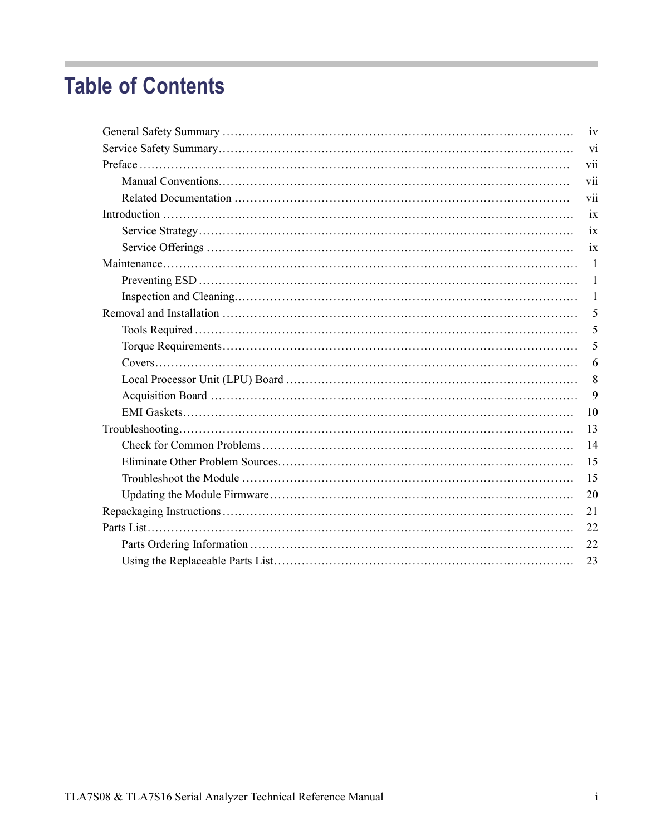## **Table of Contents**

| iv              |
|-----------------|
| Vİ              |
| vii             |
| vii             |
| vii             |
| 1X              |
| $\overline{1}X$ |
| $\overline{1}X$ |
| $\mathbf{1}$    |
| $\mathbf{1}$    |
| 1               |
| 5               |
| 5               |
| 5               |
| 6               |
| 8               |
| 9               |
| 10              |
| 13              |
| 14              |
| 15              |
| 15              |
| 20              |
| 21              |
| 22              |
| 22              |
| 23              |
|                 |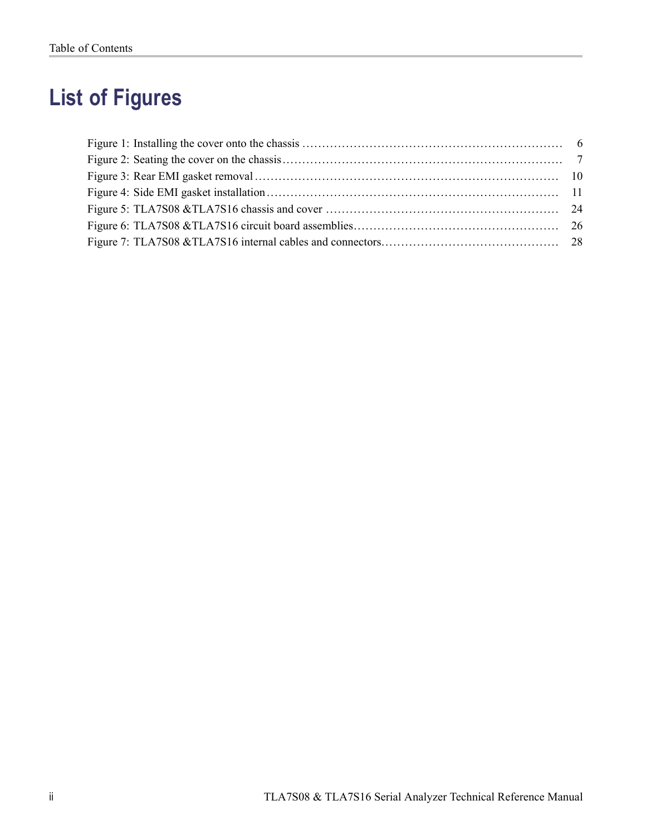# **List of Figures**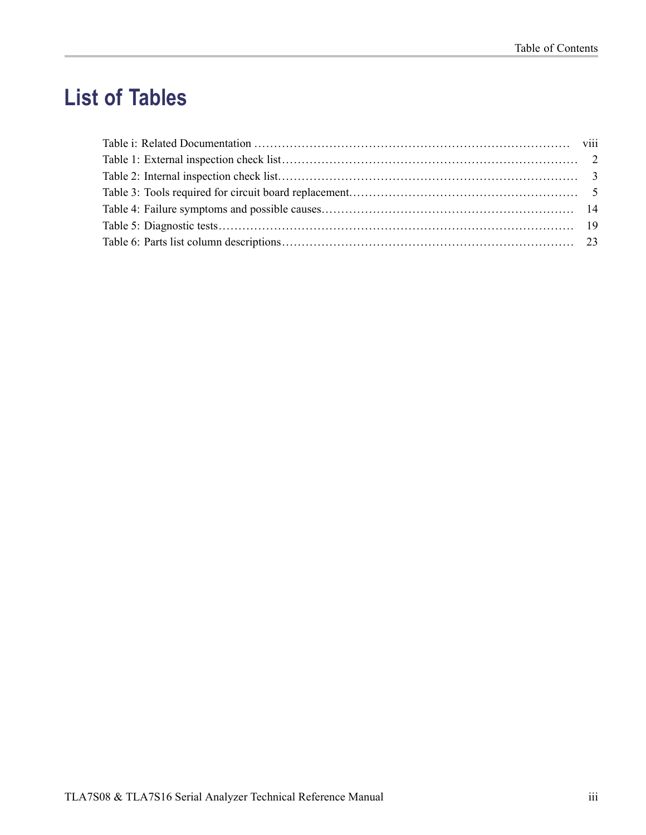# **List of Tables**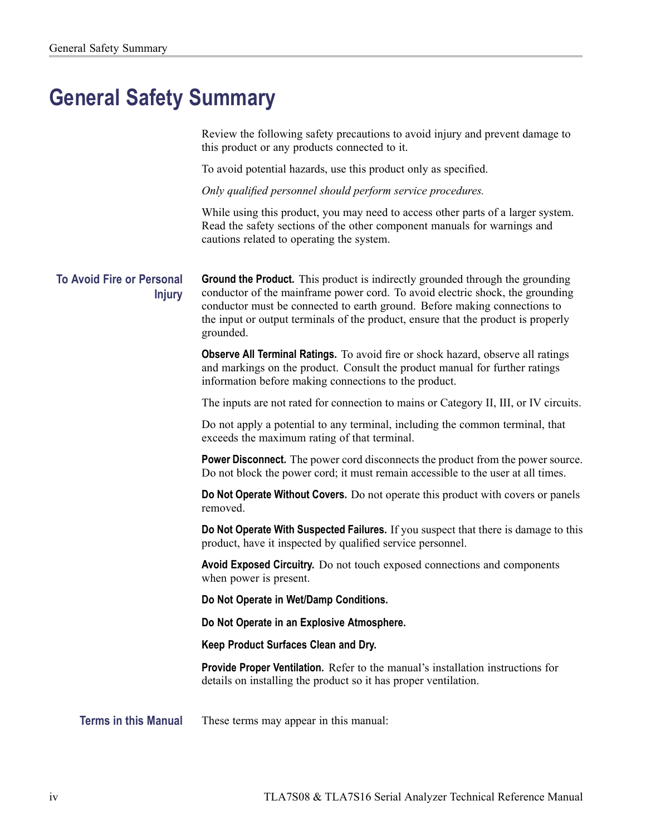## <span id="page-7-0"></span>**General Safety Summary**

Review the following safety precautions to avoid injury and prevent damage to this product or any products connected to it.

To avoid potential hazards, use this product only as specified.

*Only qualified personnel should perform service procedures.*

While using this product, you may need to access other parts of a larger system. Read the safety sections of the other component manuals for warnings and cautions related to operating the system.

**To Avoid Fire or Personal Injury** **Ground the Product.** This product is indirectly grounded through the grounding conductor of the mainframe power cord. To avoid electric shock, the grounding conductor must be connected to earth ground. Before making connections to the input or output terminals of the product, ensure that the product is properly grounded.

**Observe All Terminal Ratings.** To avoid fire or shock hazard, observe all ratings and markings on the product. Consult the product manual for further ratings information before making connections to the product.

The inputs are not rated for connection to mains or Category II, III, or IV circuits.

Do not apply a potential to any terminal, including the common terminal, that exceeds the maximum rating of that terminal.

**Power Disconnect.** The power cord disconnects the product from the power source. Do not block the power cord; it must remain accessible to the user at all times.

**Do Not Operate Without Covers.** Do not operate this product with covers or panels removed.

**Do Not Operate With Suspected Failures.** If you suspect that there is damage to this product, have it inspected by qualified service personnel.

**Avoid Exposed Circuitry.** Do not touch exposed connections and components when power is present.

**Do Not Operate in Wet/Damp Conditions.**

**Do Not Operate in an Explosive Atmosphere.**

**Keep Product Surfaces Clean and Dry.**

**Provide Proper Ventilation.** Refer to the manual's installation instructions for details on installing the product so it has proper ventilation.

**Terms in this Manual** These terms may appear in this manual: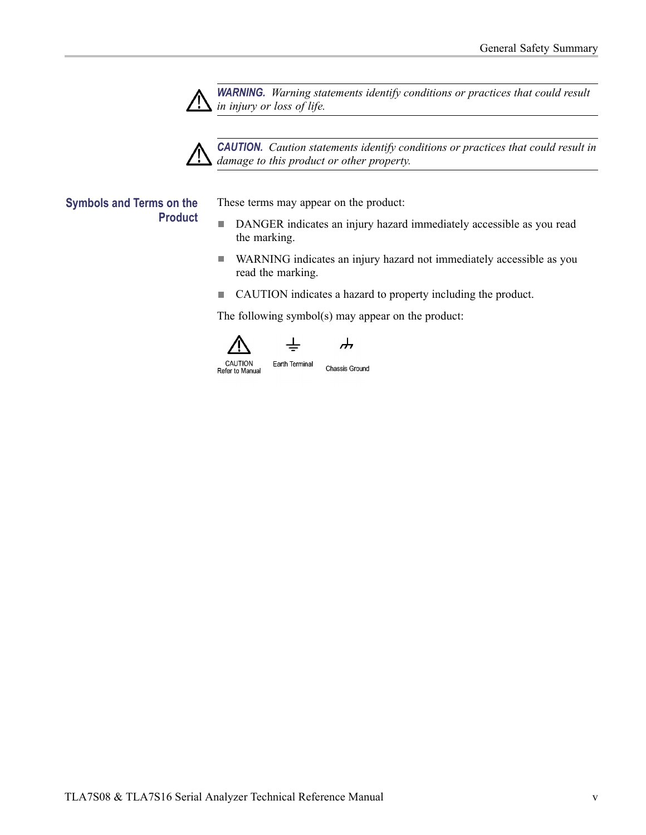

*WARNING. Warning statements identify conditions or practices that could result in injury or loss of life.*

*CAUTION. Caution statements identify conditions or practices that could result in damage to this product or other property.*

#### **Symbols and Terms on the Product**

These terms may appear on the product:

- $\overline{\phantom{a}}$ DANGER indicates an injury hazard immediately accessible as you read the marking.
- $\overline{\phantom{a}}$ WARNING indicates an injury hazard not immediately accessible as you read the marking.
- CAUTION indicates a hazard to property including the product.

The following symbol(s) may appear on the product:





Earth Terminal **Chassis Ground**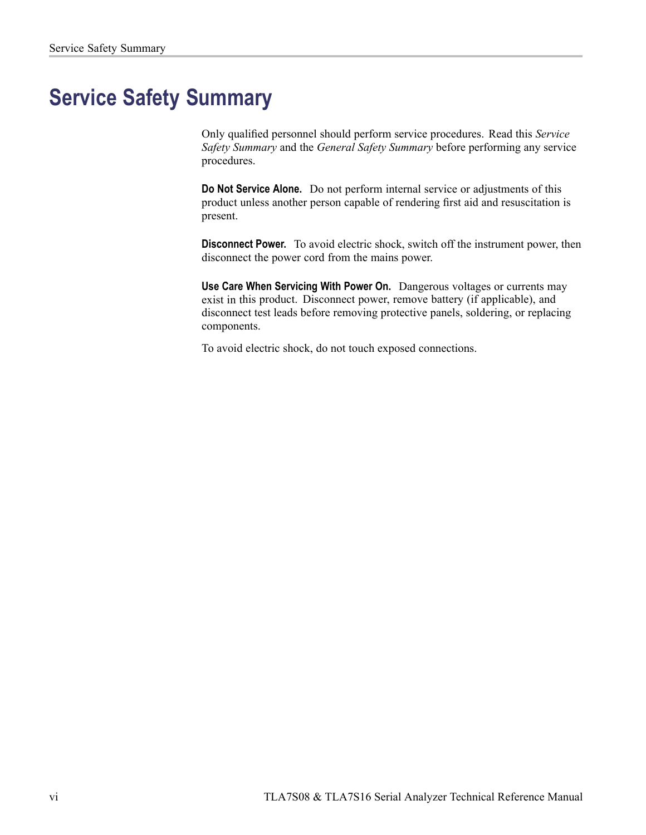## <span id="page-9-0"></span>**Service Safety Summary**

Only qualified personnel should perform service procedures. Read this *Service Safety Summary* and the *General Safety Summary* before performing any service procedures.

**Do Not Service Alone.** Do not perform internal service or adjustments of this product unless another person capable of rendering first aid and resuscitation is present.

**Disconnect Power.** To avoid electric shock, switch off the instrument power, then disconnect the power cord from the mains power.

**Use Care When Servicing With Power On.** Dangerous voltages or currents may exist in this product. Disconnect power, remove battery (if applicable), and disconnect test leads before removing protective panels, soldering, or replacing components.

To avoid electric shock, do not touch exposed connections.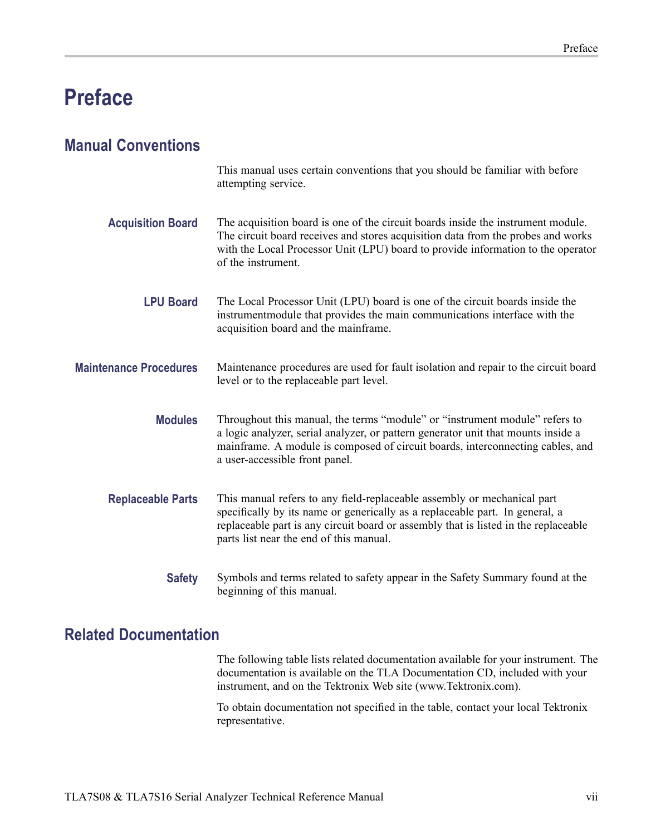## <span id="page-10-0"></span>**Preface**

### **Manual Conventions**

|                               | This manual uses certain conventions that you should be familiar with before<br>attempting service.                                                                                                                                                                                       |
|-------------------------------|-------------------------------------------------------------------------------------------------------------------------------------------------------------------------------------------------------------------------------------------------------------------------------------------|
| <b>Acquisition Board</b>      | The acquisition board is one of the circuit boards inside the instrument module.<br>The circuit board receives and stores acquisition data from the probes and works<br>with the Local Processor Unit (LPU) board to provide information to the operator<br>of the instrument.            |
| <b>LPU Board</b>              | The Local Processor Unit (LPU) board is one of the circuit boards inside the<br>instrumentmodule that provides the main communications interface with the<br>acquisition board and the mainframe.                                                                                         |
| <b>Maintenance Procedures</b> | Maintenance procedures are used for fault isolation and repair to the circuit board<br>level or to the replaceable part level.                                                                                                                                                            |
| <b>Modules</b>                | Throughout this manual, the terms "module" or "instrument module" refers to<br>a logic analyzer, serial analyzer, or pattern generator unit that mounts inside a<br>mainframe. A module is composed of circuit boards, interconnecting cables, and<br>a user-accessible front panel.      |
| <b>Replaceable Parts</b>      | This manual refers to any field-replaceable assembly or mechanical part<br>specifically by its name or generically as a replaceable part. In general, a<br>replaceable part is any circuit board or assembly that is listed in the replaceable<br>parts list near the end of this manual. |
| <b>Safety</b>                 | Symbols and terms related to safety appear in the Safety Summary found at the<br>beginning of this manual.                                                                                                                                                                                |

### **Related Documentation**

The following table lists related documentation available for your instrument. The documentation is available on the TLA Documentation CD, included with your instrument, and on the Tektronix Web site (www.Tektronix.com).

To obtain documentation not specified in the table, contact your local Tektronix representative.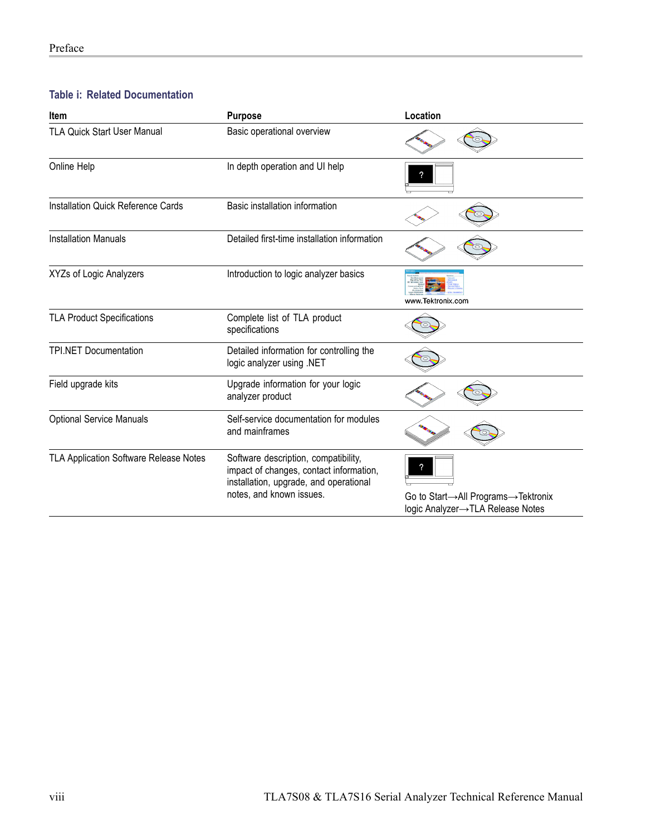#### <span id="page-11-0"></span>**Table i: Related Documentation**

| <b>Item</b>                               | <b>Purpose</b>                                                                                                                                        | Location                                                               |  |
|-------------------------------------------|-------------------------------------------------------------------------------------------------------------------------------------------------------|------------------------------------------------------------------------|--|
| <b>TLA Quick Start User Manual</b>        | Basic operational overview                                                                                                                            |                                                                        |  |
| Online Help                               | In depth operation and UI help                                                                                                                        |                                                                        |  |
| <b>Installation Quick Reference Cards</b> | Basic installation information                                                                                                                        |                                                                        |  |
| <b>Installation Manuals</b>               | Detailed first-time installation information                                                                                                          |                                                                        |  |
| XYZs of Logic Analyzers                   | Introduction to logic analyzer basics                                                                                                                 | www.Tektronix.com                                                      |  |
| <b>TLA Product Specifications</b>         | Complete list of TLA product<br>specifications                                                                                                        |                                                                        |  |
| <b>TPI.NET Documentation</b>              | Detailed information for controlling the<br>logic analyzer using .NET                                                                                 |                                                                        |  |
| Field upgrade kits                        | Upgrade information for your logic<br>analyzer product                                                                                                |                                                                        |  |
| <b>Optional Service Manuals</b>           | Self-service documentation for modules<br>and mainframes                                                                                              |                                                                        |  |
| TLA Application Software Release Notes    | Software description, compatibility,<br>impact of changes, contact information,<br>installation, upgrade, and operational<br>notes, and known issues. | Go to Start→All Programs→Tektronix<br>logic Analyzer→TLA Release Notes |  |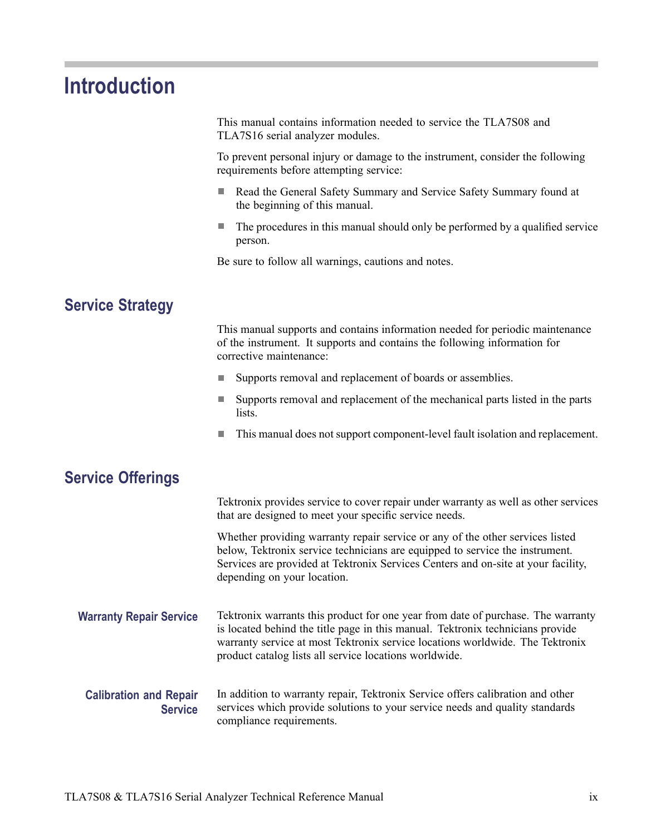## **Introduction**

<span id="page-12-0"></span>Ľ.

|                                                 | This manual contains information needed to service the TLA7S08 and<br>TLA7S16 serial analyzer modules.                                                                                                                                                                                                        |
|-------------------------------------------------|---------------------------------------------------------------------------------------------------------------------------------------------------------------------------------------------------------------------------------------------------------------------------------------------------------------|
|                                                 | To prevent personal injury or damage to the instrument, consider the following<br>requirements before attempting service:                                                                                                                                                                                     |
|                                                 | Read the General Safety Summary and Service Safety Summary found at<br>the beginning of this manual.                                                                                                                                                                                                          |
|                                                 | The procedures in this manual should only be performed by a qualified service<br>ш<br>person.                                                                                                                                                                                                                 |
|                                                 | Be sure to follow all warnings, cautions and notes.                                                                                                                                                                                                                                                           |
| <b>Service Strategy</b>                         |                                                                                                                                                                                                                                                                                                               |
|                                                 | This manual supports and contains information needed for periodic maintenance<br>of the instrument. It supports and contains the following information for<br>corrective maintenance:                                                                                                                         |
|                                                 | Supports removal and replacement of boards or assemblies.                                                                                                                                                                                                                                                     |
|                                                 | Supports removal and replacement of the mechanical parts listed in the parts<br>lists.                                                                                                                                                                                                                        |
|                                                 | This manual does not support component-level fault isolation and replacement.                                                                                                                                                                                                                                 |
| <b>Service Offerings</b>                        |                                                                                                                                                                                                                                                                                                               |
|                                                 | Tektronix provides service to cover repair under warranty as well as other services<br>that are designed to meet your specific service needs.                                                                                                                                                                 |
|                                                 | Whether providing warranty repair service or any of the other services listed<br>below, Tektronix service technicians are equipped to service the instrument.<br>Services are provided at Tektronix Services Centers and on-site at your facility,<br>depending on your location.                             |
| <b>Warranty Repair Service</b>                  | Tektronix warrants this product for one year from date of purchase. The warranty<br>is located behind the title page in this manual. Tektronix technicians provide<br>warranty service at most Tektronix service locations worldwide. The Tektronix<br>product catalog lists all service locations worldwide. |
| <b>Calibration and Repair</b><br><b>Service</b> | In addition to warranty repair, Tektronix Service offers calibration and other<br>services which provide solutions to your service needs and quality standards<br>compliance requirements.                                                                                                                    |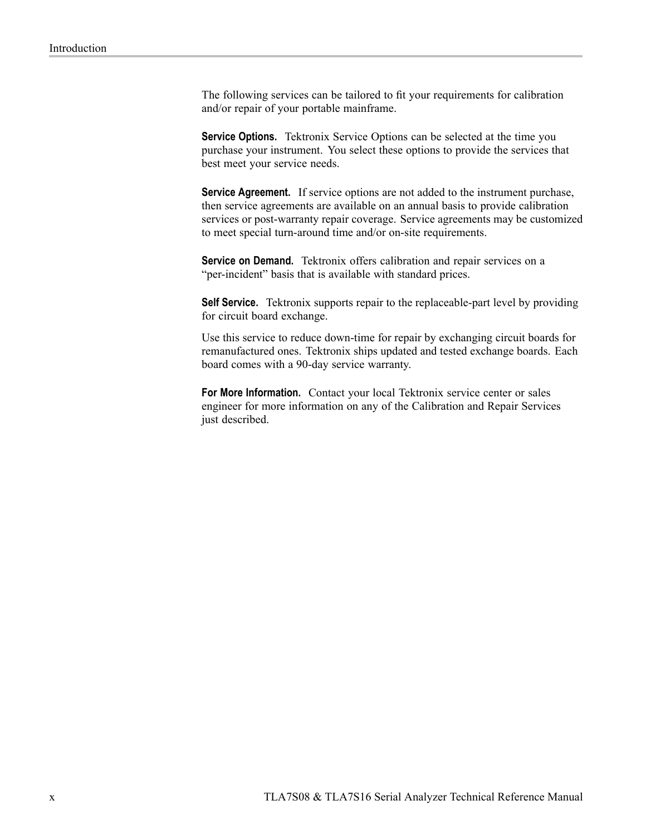The following services can be tailored to fit your requirements for calibration and/or repair of your portable mainframe.

**Service Options.** Tektronix Service Options can be selected at the time you purchase your instrument. You select these options to provide the services that best meet your service needs.

**Service Agreement.** If service options are not added to the instrument purchase, then service agreements are available on an annual basis to provide calibration services or post-warranty repair coverage. Service agreements may be customized to meet special turn-around time and/or on-site requirements.

**Service on Demand.** Tektronix offers calibration and repair services on a "per-incident" basis that is available with standard prices.

**Self Service.** Tektronix supports repair to the replaceable-part level by providing for circuit board exchange.

Use this service to reduce down-time for repair by exchanging circuit boards for remanufactured ones. Tektronix ships updated and tested exchange boards. Each board comes with a 90-day service warranty.

**For More Information.** Contact your local Tektronix service center or sales engineer for more information on any of the Calibration and Repair Services just described.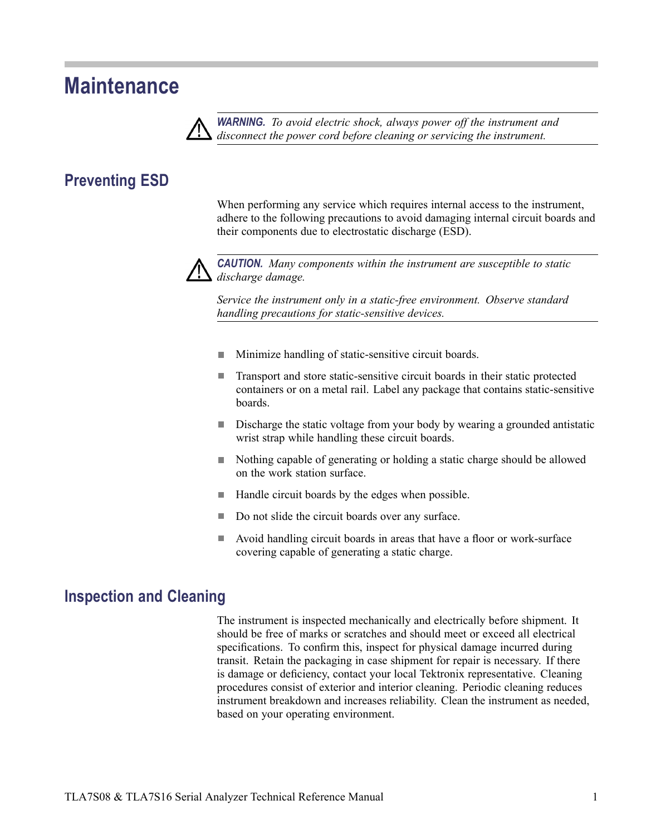## <span id="page-14-0"></span>**Maintenance**



*WARNING. To avoid electric shock, always power off the instrument and disconnect the power cord before cleaning or servicing the instrument.*

### **Preventing ESD**

When performing any service which requires internal access to the instrument, adhere to the following precautions to avoid damaging internal circuit boards and their components due to electrostatic discharge (ESD).



*CAUTION. Many components within the instrument are susceptible to static discharge damage.*

*Service the instrument only in a static-free environment. Observe standard handling precautions for static-sensitive devices.*

- $\mathcal{L}_{\mathcal{A}}$ Minimize handling of static-sensitive circuit boards.
- $\overline{\phantom{a}}$ Transport and store static-sensitive circuit boards in their static protected containers or on a metal rail. Label any package that contains static-sensitive boards.
- $\overline{\phantom{a}}$ Discharge the static voltage from your body by wearing a grounded antistatic wrist strap while handling these circuit boards.
- Nothing capable of generating or holding a static charge should be allowed on the work station surface.
- $\mathcal{L}_{\mathcal{A}}$ Handle circuit boards by the edges when possible.
- $\mathcal{L}_{\mathcal{A}}$ Do not slide the circuit boards over any surface.
- Avoid handling circuit boards in areas that have a floor or work-surface covering capable of generating a static charge.

#### **Inspection and Cleaning**

The instrument is inspected mechanically and electrically before shipment. It should be free of marks or scratches and should meet or exceed all electrical specifications. To confirm this, inspect for physical damage incurred during transit. Retain the packaging in case shipment for repair is necessary. If there is damage or deficiency, contact your local Tektronix representative. Cleaning procedures consist of exterior and interior cleaning. Periodic cleaning reduces instrument breakdown and increases reliability. Clean the instrument as needed, based on your operating environment.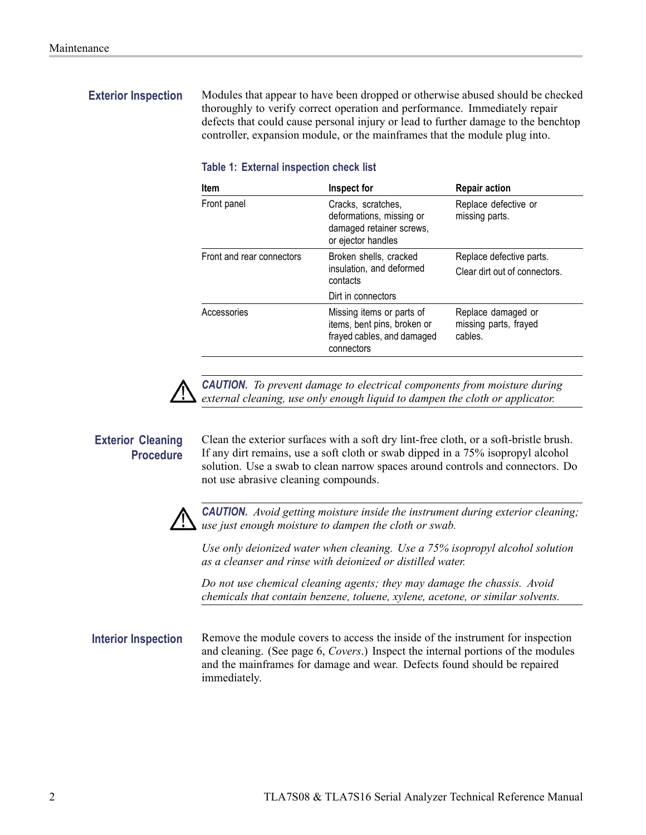<span id="page-15-0"></span>**Exterior Inspection** Modules that appear to have been dropped or otherwise abused should be checked thoroughly to verify correct operation and performance. Immediately repair defects that could cause personal injury or lead to further damage to the benchtop controller, expansion module, or the mainframes that the module plug into.

| <b>Item</b>               | Inspect for                                                                                          | <b>Repair action</b>                                   |
|---------------------------|------------------------------------------------------------------------------------------------------|--------------------------------------------------------|
| Front panel               | Cracks, scratches,<br>deformations, missing or<br>damaged retainer screws,<br>or ejector handles     | Replace defective or<br>missing parts.                 |
| Front and rear connectors | Broken shells, cracked<br>insulation, and deformed<br>contacts                                       | Replace defective parts.                               |
|                           |                                                                                                      | Clear dirt out of connectors.                          |
|                           | Dirt in connectors                                                                                   |                                                        |
| Accessories               | Missing items or parts of<br>items, bent pins, broken or<br>frayed cables, and damaged<br>connectors | Replace damaged or<br>missing parts, frayed<br>cables. |

#### **Table 1: External inspection check list**



*CAUTION. To prevent damage to electrical components from moisture during external cleaning, use only enough liquid to dampen the cloth or applicator.*

**Exterior Cleaning Procedure** Clean the exterior surfaces with a soft dry lint-free cloth, or a soft-bristle brush. If any dirt remains, use a soft cloth or swab dipped in a 75% isopropyl alcohol solution. Use a swab to clean narrow spaces around controls and connectors. Do not use abrasive cleaning compounds.



*CAUTION. Avoid getting moisture inside the instrument during exterior cleaning; use just enough moisture to dampen the cloth or swab.*

*Use only deionized water when cleaning. Use a 75% isopropyl alcohol solution as a cleanser and rinse with deionized or distilled water.*

*Do not use chemical cleaning agents; they may damage the chassis. Avoid chemicals that contain benzene, toluene, xylene, acetone, or similar solvents.*

**Interior Inspection** Remove the module covers to access the inside of the instrument for inspection and cleaning. [\(See page 6,](#page-19-0) *[Covers](#page-19-0)*[.\)](#page-19-0) Inspect the internal portions of the modules and the mainframes for damage and wear. Defects found should be repaired immediately.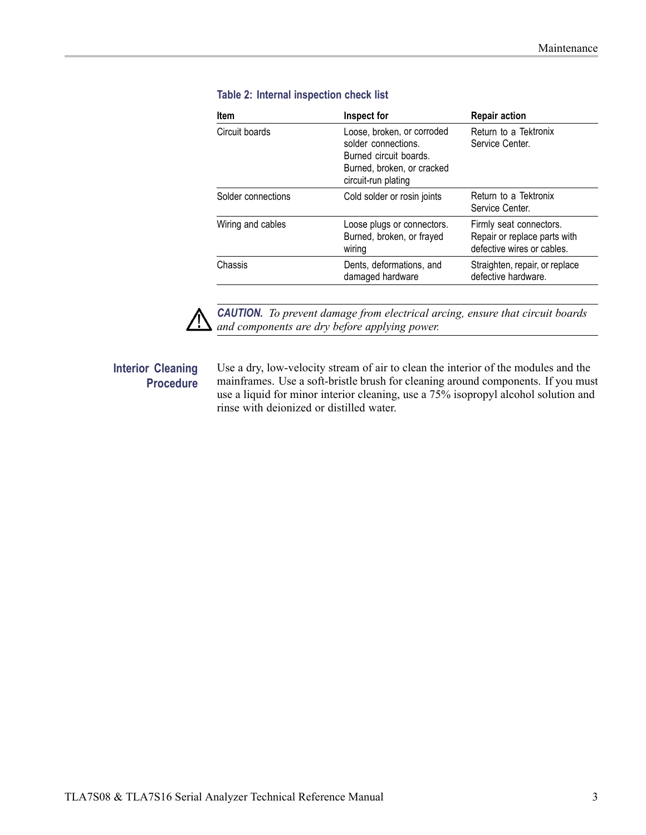| Item               | Inspect for                                                                                                                      | <b>Repair action</b>                                                                  |
|--------------------|----------------------------------------------------------------------------------------------------------------------------------|---------------------------------------------------------------------------------------|
| Circuit boards     | Loose, broken, or corroded<br>solder connections.<br>Burned circuit boards.<br>Burned, broken, or cracked<br>circuit-run plating | Return to a Tektronix<br>Service Center.                                              |
| Solder connections | Cold solder or rosin joints                                                                                                      | Return to a Tektronix<br>Service Center.                                              |
| Wiring and cables  | Loose plugs or connectors.<br>Burned, broken, or frayed<br>wiring                                                                | Firmly seat connectors.<br>Repair or replace parts with<br>defective wires or cables. |
| Chassis            | Dents, deformations, and<br>damaged hardware                                                                                     | Straighten, repair, or replace<br>defective hardware.                                 |

#### <span id="page-16-0"></span>**Table 2: Internal inspection check list**



*CAUTION. To prevent damage from electrical arcing, ensure that circuit boards and components are dry before applying power.*

#### **Interior Cleaning Procedure**

Use a dry, low-velocity stream of air to clean the interior of the modules and the mainframes. Use a soft-bristle brush for cleaning around components. If you must use a liquid for minor interior cleaning, use a 75% isopropyl alcohol solution and rinse with deionized or distilled water.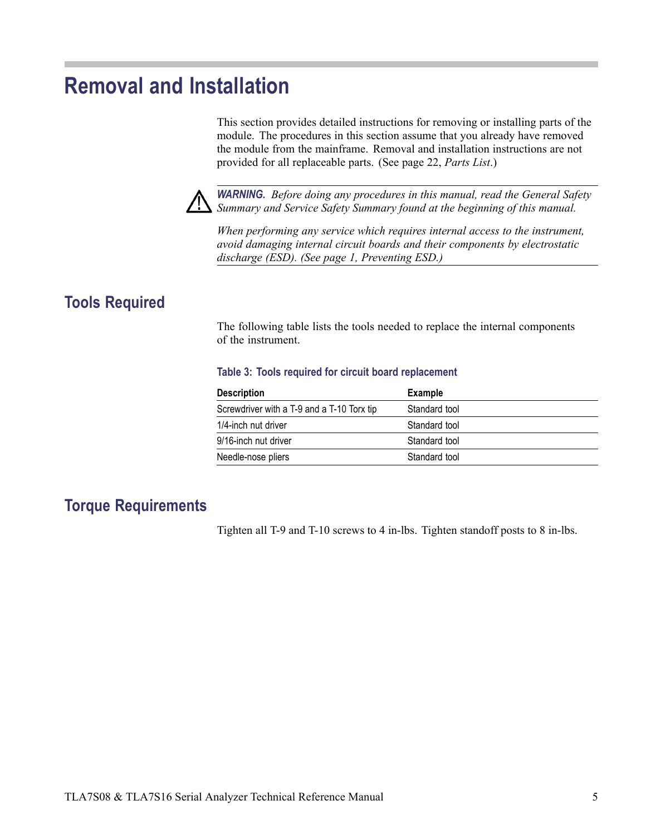## <span id="page-18-0"></span>**Removal and Installation**

This section provides detailed instructions for removing or installing parts of the module. The procedures in this section assume that you already have removed the module from the mainframe. Removal and installation instructions are not provided for all replaceable parts. [\(See page 22,](#page-35-0) *[Parts List](#page-35-0)*[.\)](#page-35-0)



*WARNING. Before doing any procedures in this manual, read the General Safety Summary and Service Safety Summary found at the beginning of this manual.*

*When performing any service which requires internal access to the instrument, avoid damaging internal circuit boards and their components by electrostatic discharge (ESD). [\(See page 1, Preventing ESD.\)](#page-14-0)*

### **Tools Required**

The following table lists the tools needed to replace the internal components of the instrument.

#### **Table 3: Tools required for circuit board replacement**

| Example       |
|---------------|
| Standard tool |
| Standard tool |
| Standard tool |
| Standard tool |
|               |

### **Torque Requirements**

Tighten all T-9 and T-10 screws to 4 in-lbs. Tighten standoff posts to 8 in-lbs.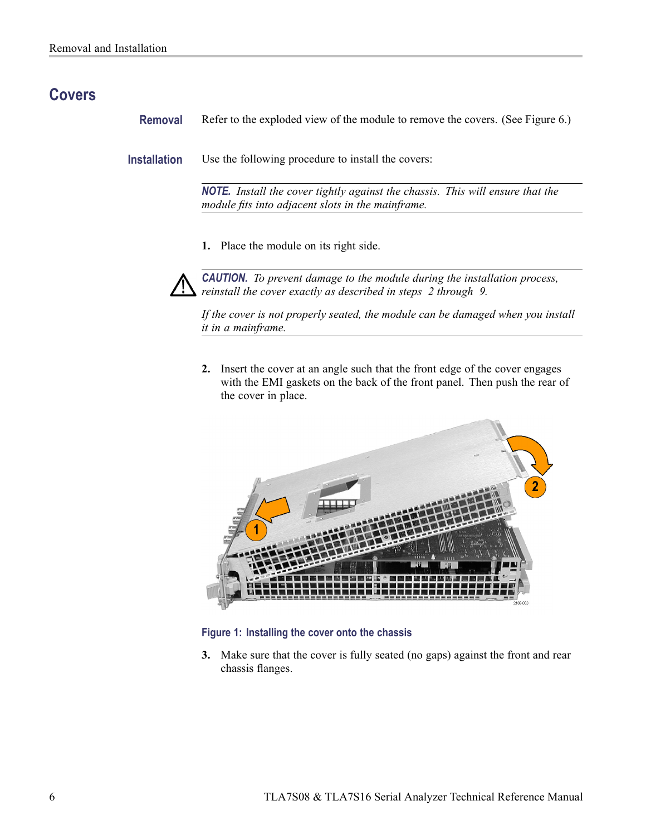### <span id="page-19-0"></span>**Covers**

**Removal** Refer to the exploded view of the module to remove the covers. [\(See Figure 6.\)](#page-39-0)

**Installation** Use the following procedure to install the covers:

*NOTE. Install the cover tightly against the chassis. This will ensure that the module fits into adjacent slots in the mainframe.*

**1.** Place the module on its right side.



*CAUTION. To prevent damage to the module during the installation process, reinstall the cover exactly as described in steps 2 through [9.](#page-20-0)*

*If the cover is not properly seated, the module can be damaged when you install it in a mainframe.*

**2.** Insert the cover at an angle such that the front edge of the cover engages with the EMI gaskets on the back of the front panel. Then push the rear of the cover in place.



#### **Figure 1: Installing the cover onto the chassis**

**3.** Make sure that the cover is fully seated (no gaps) against the front and rear chassis flanges.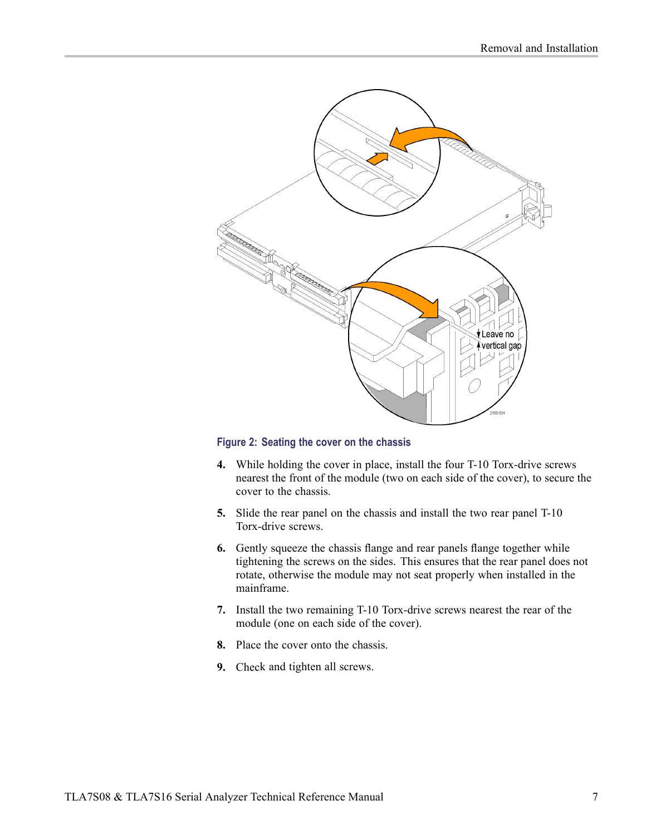<span id="page-20-0"></span>

#### **Figure 2: Seating the cover on the chassis**

- **4.** While holding the cover in place, install the four T-10 Torx-drive screws nearest the front of the module (two on each side of the cover), to secure the cover to the chassis.
- **5.** Slide the rear panel on the chassis and install the two rear panel T-10 Torx-drive screws.
- **6.** Gently squeeze the chassis flange and rear panels flange together while tightening the screws on the sides. This ensures that the rear panel does not rotate, otherwise the module may not seat properly when installed in the mainframe.
- **7.** Install the two remaining T-10 Torx-drive screws nearest the rear of the module (one on each side of the cover).
- **8.** Place the cover onto the chassis.
- **9.** Check and tighten all screws.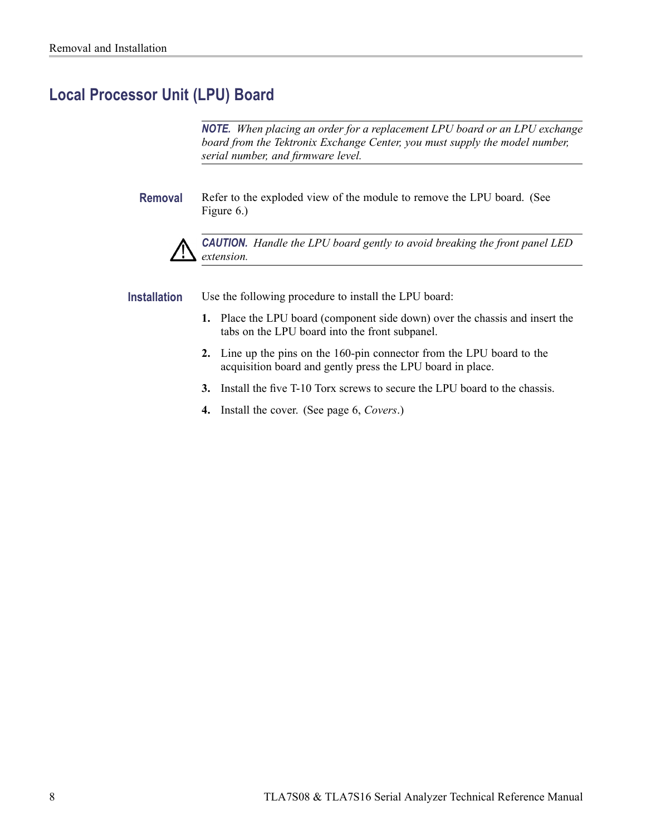### <span id="page-21-0"></span>**Local Processor Unit (LPU) Board**

*NOTE. When placing an order for a replacement LPU board or an LPU exchange board from the Tektronix Exchange Center, you must supply the model number, serial number, and firmware level.*

**Removal** Refer to the exploded view of the module to remove the LPU board. [\(See](#page-39-0) Figure 6.)



*CAUTION. Handle the LPU board gently to avoid breaking the front panel LED extension.*

**Installation** Use the following procedure to install the LPU board:

- **1.** Place the LPU board (component side down) over the chassis and insert the tabs on the LPU board into the front subpanel.
- **2.** Line up the pins on the 160-pin connector from the LPU board to the acquisition board and gently press the LPU board in place.
- **3.** Install the five T-10 Torx screws to secure the LPU board to the chassis.
- **4.** Install the cover. [\(See page 6,](#page-19-0) *[Covers](#page-19-0)*[.\)](#page-19-0)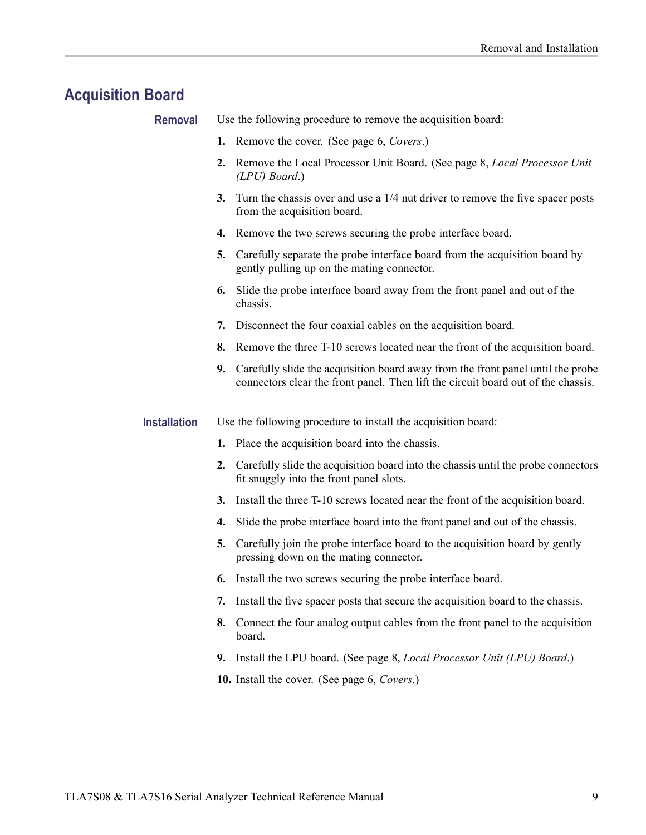## <span id="page-22-0"></span>**Acquisition Board**

| <b>Removal</b>      |    | Use the following procedure to remove the acquisition board:                                                                                                         |
|---------------------|----|----------------------------------------------------------------------------------------------------------------------------------------------------------------------|
|                     |    | 1. Remove the cover. (See page 6, Covers.)                                                                                                                           |
|                     | 2. | Remove the Local Processor Unit Board. (See page 8, <i>Local Processor Unit</i><br>$(LPU)$ Board.)                                                                   |
|                     | 3. | Turn the chassis over and use a 1/4 nut driver to remove the five spacer posts<br>from the acquisition board.                                                        |
|                     |    | 4. Remove the two screws securing the probe interface board.                                                                                                         |
|                     | 5. | Carefully separate the probe interface board from the acquisition board by<br>gently pulling up on the mating connector.                                             |
|                     | 6. | Slide the probe interface board away from the front panel and out of the<br>chassis.                                                                                 |
|                     | 7. | Disconnect the four coaxial cables on the acquisition board.                                                                                                         |
|                     | 8. | Remove the three T-10 screws located near the front of the acquisition board.                                                                                        |
|                     | 9. | Carefully slide the acquisition board away from the front panel until the probe<br>connectors clear the front panel. Then lift the circuit board out of the chassis. |
| <b>Installation</b> |    | Use the following procedure to install the acquisition board:                                                                                                        |
|                     |    | 1. Place the acquisition board into the chassis.                                                                                                                     |
|                     | 2. | Carefully slide the acquisition board into the chassis until the probe connectors<br>fit snuggly into the front panel slots.                                         |
|                     | 3. | Install the three T-10 screws located near the front of the acquisition board.                                                                                       |
|                     | 4. | Slide the probe interface board into the front panel and out of the chassis.                                                                                         |
|                     | 5. | Carefully join the probe interface board to the acquisition board by gently<br>pressing down on the mating connector.                                                |
|                     |    | 6. Install the two screws securing the probe interface board.                                                                                                        |
|                     | 7. | Install the five spacer posts that secure the acquisition board to the chassis.                                                                                      |
|                     | 8. | Connect the four analog output cables from the front panel to the acquisition<br>board.                                                                              |
|                     | 9. | Install the LPU board. (See page 8, Local Processor Unit (LPU) Board.)                                                                                               |
|                     |    | 10. Install the cover. (See page 6, Covers.)                                                                                                                         |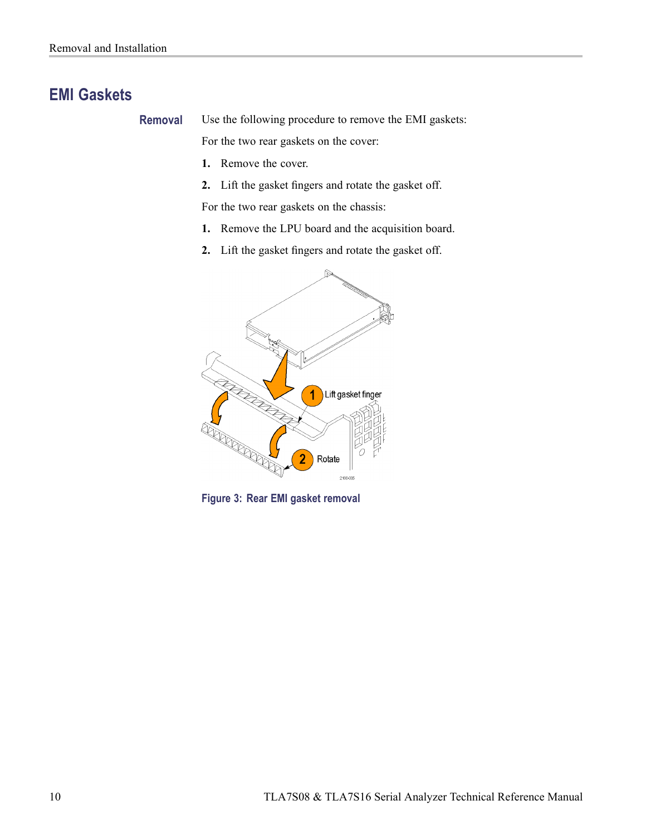### <span id="page-23-0"></span>**EMI Gaskets**

**Removal** Use the following procedure to remove the EMI gaskets:

For the two rear gaskets on the cover:

- **1.** Remove the cover.
- **2.** Lift the gasket fingers and rotate the gasket off.

For the two rear gaskets on the chassis:

- **1.** Remove the LPU board and the acquisition board.
- **2.** Lift the gasket fingers and rotate the gasket off.



**Figure 3: Rear EMI gasket removal**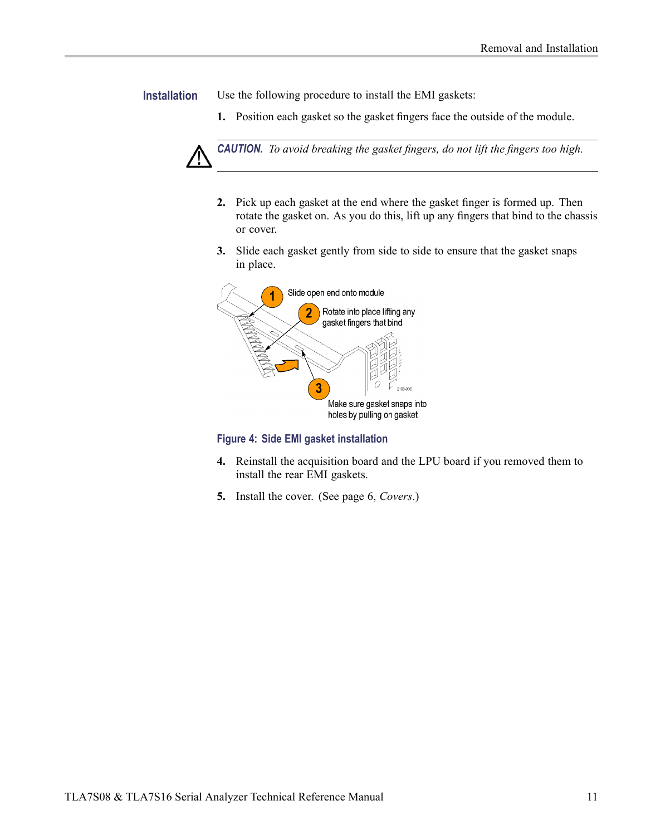<span id="page-24-0"></span>**Installation** Use the following procedure to install the EMI gaskets:

**1.** Position each gasket so the gasket fingers face the outside of the module.



- **2.** Pick up each gasket at the end where the gasket finger is formed up. Then rotate the gasket on. As you do this, lift up any fingers that bind to the chassis or cover.
- **3.** Slide each gasket gently from side to side to ensure that the gasket snaps in place.



**Figure 4: Side EMI gasket installation**

- **4.** Reinstall the acquisition board and the LPU board if you removed them to install the rear EMI gaskets.
- **5.** Install the cover. [\(See page 6,](#page-19-0) *[Covers](#page-19-0)*[.\)](#page-19-0)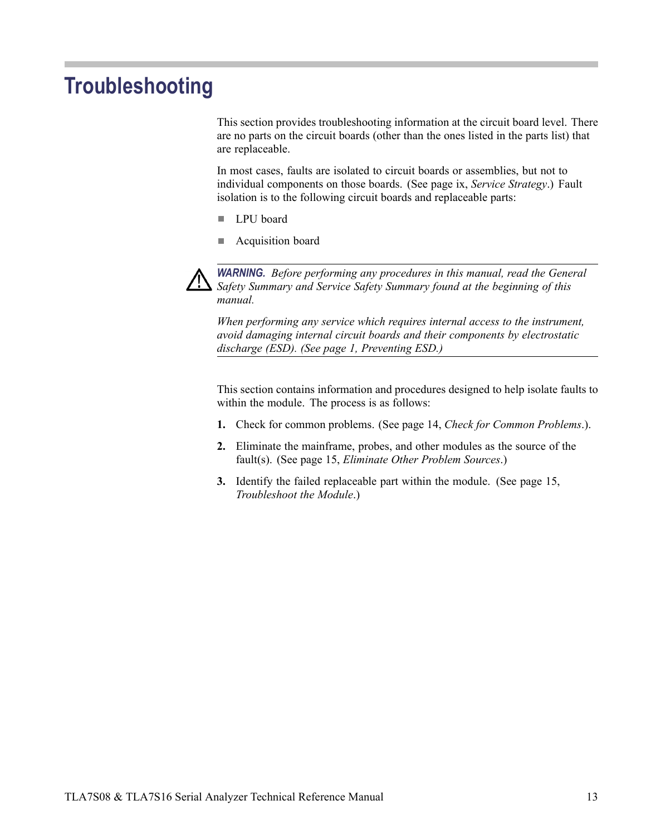## <span id="page-26-0"></span>**Troubleshooting**

This section provides troubleshooting information at the circuit board level. There are no parts on the circuit boards (other than the ones listed in the parts list) that are replaceable.

In most cases, faults are isolated to circuit boards or assemblies, but not to individual components on those boards. [\(See page ix,](#page-12-0) *[Service Strategy](#page-12-0)*[.\)](#page-12-0) Fault isolation is to the following circuit boards and replaceable parts:

- $\overline{\phantom{a}}$ LPU board
- П Acquisition board



*WARNING. Before performing any procedures in this manual, read the General Safety Summary and Service Safety Summary found at the beginning of this manual.*

*When performing any service which requires internal access to the instrument, avoid damaging internal circuit boards and their components by electrostatic discharge (ESD). [\(See page 1, Preventing ESD.\)](#page-14-0)*

This section contains information and procedures designed to help isolate faults to within the module. The process is as follows:

- **1.** Check for common problems. [\(See page 14,](#page-27-0) *[Check for Common Problems](#page-27-0)*[.\).](#page-27-0)
- **2.** Eliminate the mainframe, probes, and other modules as the source of the fault(s). [\(See page 15,](#page-28-0) *[Eliminate Other Problem Sources](#page-28-0)*[.\)](#page-28-0)
- **3.** Identify the failed replaceable part within the module. [\(See page 15,](#page-28-0) *[Troubleshoot the Module](#page-28-0)*[.\)](#page-28-0)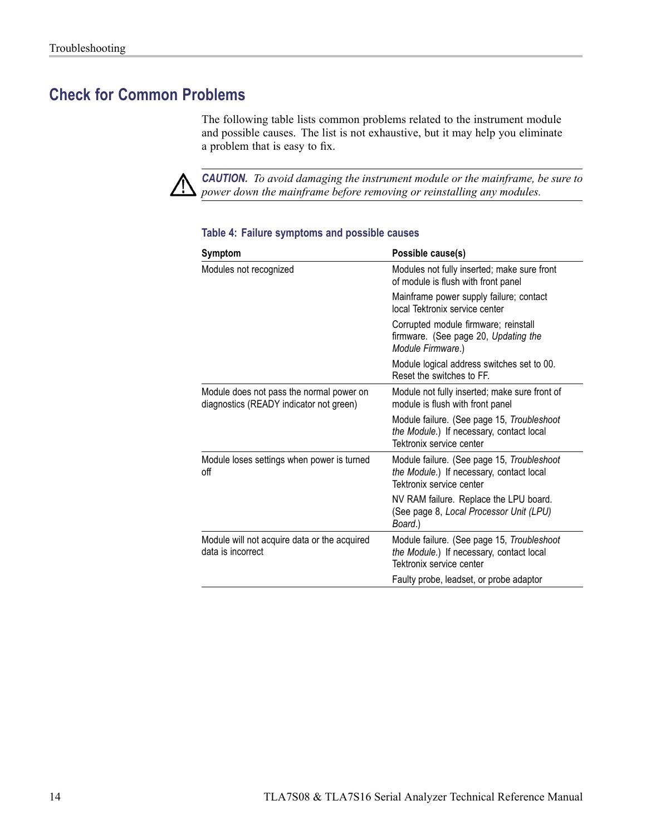### <span id="page-27-0"></span>**Check for Common Problems**

The following table lists common problems related to the instrument module and possible causes. The list is not exhaustive, but it may help you eliminate a problem that is easy to fix.



*CAUTION. To avoid damaging the instrument module or the mainframe, be sure to power down the mainframe before removing or reinstalling any modules.*

| Symptom                                                                             | Possible cause(s)                                                                                                  |
|-------------------------------------------------------------------------------------|--------------------------------------------------------------------------------------------------------------------|
| Modules not recognized                                                              | Modules not fully inserted; make sure front<br>of module is flush with front panel                                 |
|                                                                                     | Mainframe power supply failure; contact<br>local Tektronix service center                                          |
|                                                                                     | Corrupted module firmware; reinstall<br>firmware. (See page 20, Updating the<br>Module Firmware.)                  |
|                                                                                     | Module logical address switches set to 00.<br>Reset the switches to FF.                                            |
| Module does not pass the normal power on<br>diagnostics (READY indicator not green) | Module not fully inserted; make sure front of<br>module is flush with front panel                                  |
|                                                                                     | Module failure. (See page 15, Troubleshoot<br>the Module.) If necessary, contact local<br>Tektronix service center |
| Module loses settings when power is turned<br>оff                                   | Module failure. (See page 15, Troubleshoot<br>the Module.) If necessary, contact local<br>Tektronix service center |
|                                                                                     | NV RAM failure. Replace the LPU board.<br>(See page 8, Local Processor Unit (LPU)<br>Board.)                       |
| Module will not acquire data or the acquired<br>data is incorrect                   | Module failure. (See page 15, Troubleshoot<br>the Module.) If necessary, contact local<br>Tektronix service center |
|                                                                                     | Faulty probe, leadset, or probe adaptor                                                                            |
|                                                                                     |                                                                                                                    |

#### **Table 4: Failure symptoms and possible causes**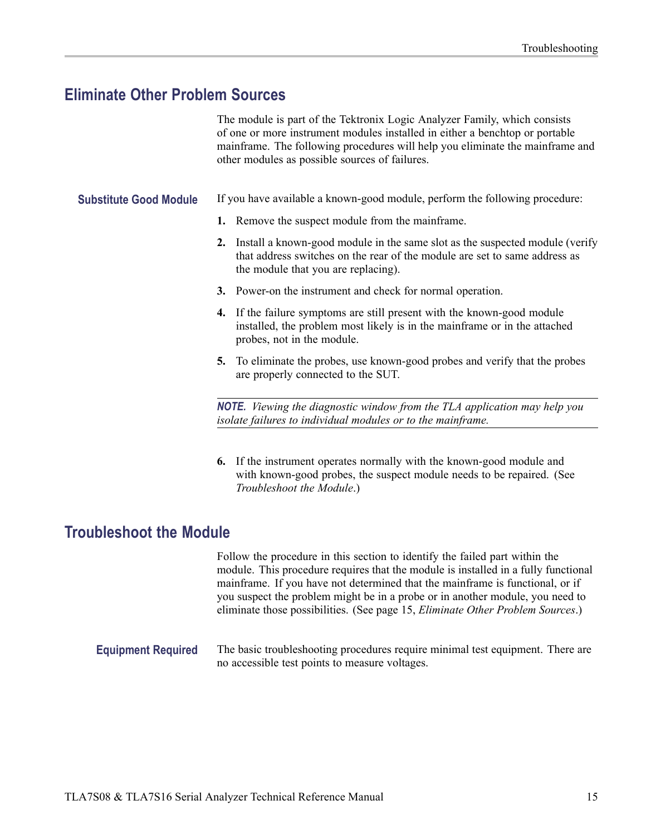### <span id="page-28-0"></span>**Eliminate Other Problem Sources**

The module is part of the Tektronix Logic Analyzer Family, which consists of one or more instrument modules installed in either a benchtop or portable mainframe. The following procedures will help you eliminate the mainframe and other modules as possible sources of failures.

**Substitute Good Module** If you have available a known-good module, perform the following procedure:

- **1.** Remove the suspect module from the mainframe.
- **2.** Install a known-good module in the same slot as the suspected module (verify that address switches on the rear of the module are set to same address as the module that you are replacing).
- **3.** Power-on the instrument and check for normal operation.
- **4.** If the failure symptoms are still present with the known-good module installed, the problem most likely is in the mainframe or in the attached probes, not in the module.
- **5.** To eliminate the probes, use known-good probes and verify that the probes are properly connected to the SUT.

*NOTE. Viewing the diagnostic window from the TLA application may help you isolate failures to individual modules or to the mainframe.*

**6.** If the instrument operates normally with the known-good module and with known-good probes, the suspect module needs to be repaired. (See *Troubleshoot the Module*.)

### **Troubleshoot the Module**

Follow the procedure in this section to identify the failed part within the module. This procedure requires that the module is installed in a fully functional mainframe. If you have not determined that the mainframe is functional, or if you suspect the problem might be in a probe or in another module, you need to eliminate those possibilities. (See page 15, *Eliminate Other Problem Sources*.)

**Equipment Required** The basic troubleshooting procedures require minimal test equipment. There are no accessible test points to measure voltages.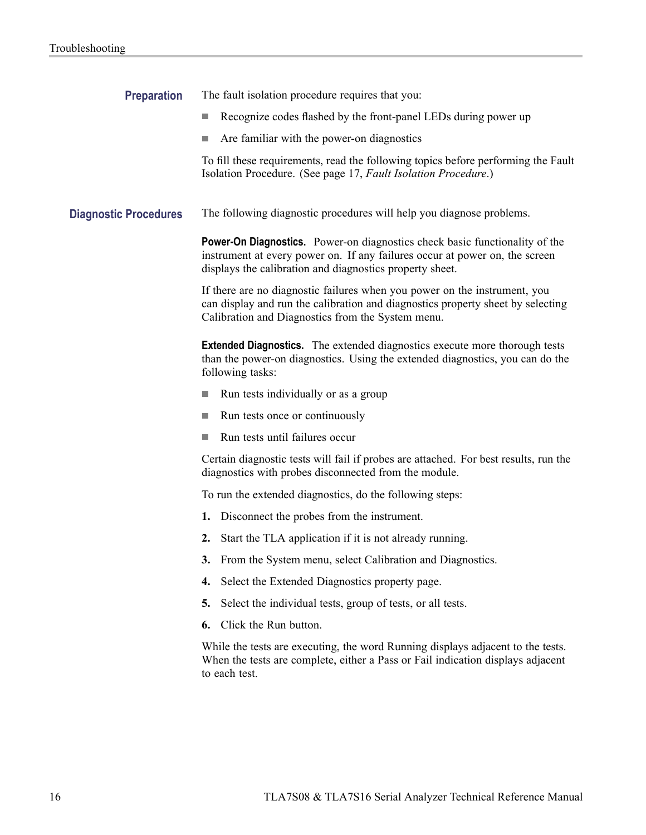| <b>Preparation</b>           | The fault isolation procedure requires that you:                                                                                                                                                                              |
|------------------------------|-------------------------------------------------------------------------------------------------------------------------------------------------------------------------------------------------------------------------------|
|                              | Recognize codes flashed by the front-panel LEDs during power up                                                                                                                                                               |
|                              | Are familiar with the power-on diagnostics<br>n.                                                                                                                                                                              |
|                              | To fill these requirements, read the following topics before performing the Fault<br>Isolation Procedure. (See page 17, Fault Isolation Procedure.)                                                                           |
| <b>Diagnostic Procedures</b> | The following diagnostic procedures will help you diagnose problems.                                                                                                                                                          |
|                              | <b>Power-On Diagnostics.</b> Power-on diagnostics check basic functionality of the<br>instrument at every power on. If any failures occur at power on, the screen<br>displays the calibration and diagnostics property sheet. |
|                              | If there are no diagnostic failures when you power on the instrument, you<br>can display and run the calibration and diagnostics property sheet by selecting<br>Calibration and Diagnostics from the System menu.             |
|                              | <b>Extended Diagnostics.</b> The extended diagnostics execute more thorough tests<br>than the power-on diagnostics. Using the extended diagnostics, you can do the<br>following tasks:                                        |
|                              | Run tests individually or as a group<br>ш                                                                                                                                                                                     |
|                              | Run tests once or continuously<br>n.                                                                                                                                                                                          |
|                              | Run tests until failures occur                                                                                                                                                                                                |
|                              | Certain diagnostic tests will fail if probes are attached. For best results, run the<br>diagnostics with probes disconnected from the module.                                                                                 |
|                              | To run the extended diagnostics, do the following steps:                                                                                                                                                                      |
|                              | Disconnect the probes from the instrument.<br>1.                                                                                                                                                                              |
|                              | Start the TLA application if it is not already running.<br>2.                                                                                                                                                                 |
|                              | 3. From the System menu, select Calibration and Diagnostics.                                                                                                                                                                  |
|                              | Select the Extended Diagnostics property page.<br>4.                                                                                                                                                                          |
|                              | Select the individual tests, group of tests, or all tests.<br>5.                                                                                                                                                              |
|                              | Click the Run button.<br>6.                                                                                                                                                                                                   |
|                              | While the tests are executing, the word Running displays adjacent to the tests.<br>When the tests are complete, either a Pass or Fail indication displays adjacent<br>to each test.                                           |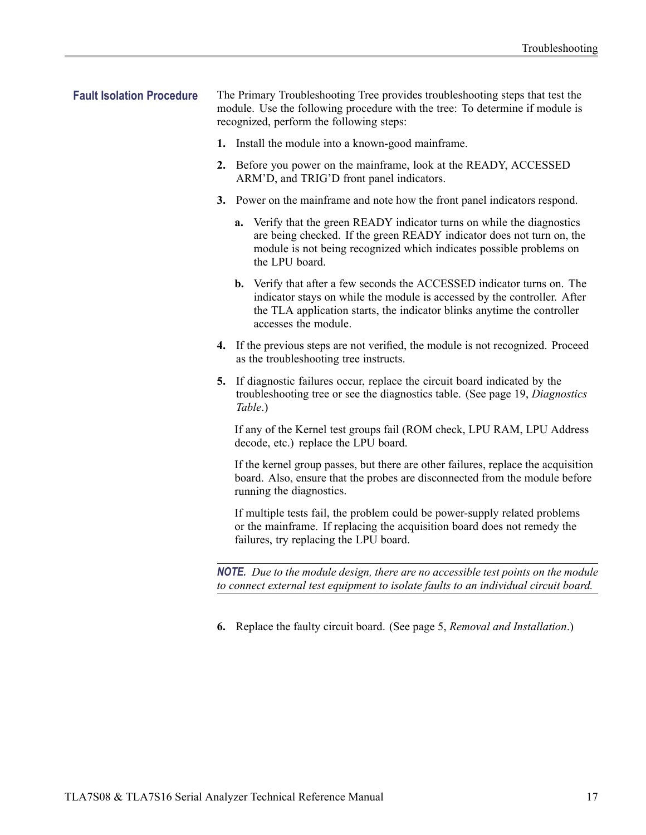- <span id="page-30-0"></span>**Fault Isolation Procedure** The Primary Troubleshooting Tree provides troubleshooting steps that test the module. Use the following procedure with the tree: To determine if module is recognized, perform the following steps:
	- **1.** Install the module into a known-good mainframe.
	- **2.** Before you power on the mainframe, look at the READY, ACCESSED ARM'D, and TRIG'D front panel indicators.
	- **3.** Power on the mainframe and note how the front panel indicators respond.
		- **a.** Verify that the green READY indicator turns on while the diagnostics are being checked. If the green READY indicator does not turn on, the module is not being recognized which indicates possible problems on the LPU board.
		- **b.** Verify that after a few seconds the ACCESSED indicator turns on. The indicator stays on while the module is accessed by the controller. After the TLA application starts, the indicator blinks anytime the controller accesses the module.
	- **4.** If the previous steps are not verified, the module is not recognized. Proceed as the troubleshooting tree instructs.
	- **5.** If diagnostic failures occur, replace the circuit board indicated by the troubleshooting tree or see the diagnostics table. [\(See page 19,](#page-32-0) *[Diagnostics](#page-32-0) Table*[.\)](#page-32-0)

If any of the Kernel test groups fail (ROM check, LPU RAM, LPU Address decode, etc.) replace the LPU board.

If the kernel group passes, but there are other failures, replace the acquisition board. Also, ensure that the probes are disconnected from the module before running the diagnostics.

If multiple tests fail, the problem could be power-supply related problems or the mainframe. If replacing the acquisition board does not remedy the failures, try replacing the LPU board.

*NOTE. Due to the module design, there are no accessible test points on the module to connect external test equipment to isolate faults to an individual circuit board.*

**6.** Replace the faulty circuit board. [\(See page 5,](#page-18-0) *[Removal and Installation](#page-18-0)*[.\)](#page-18-0)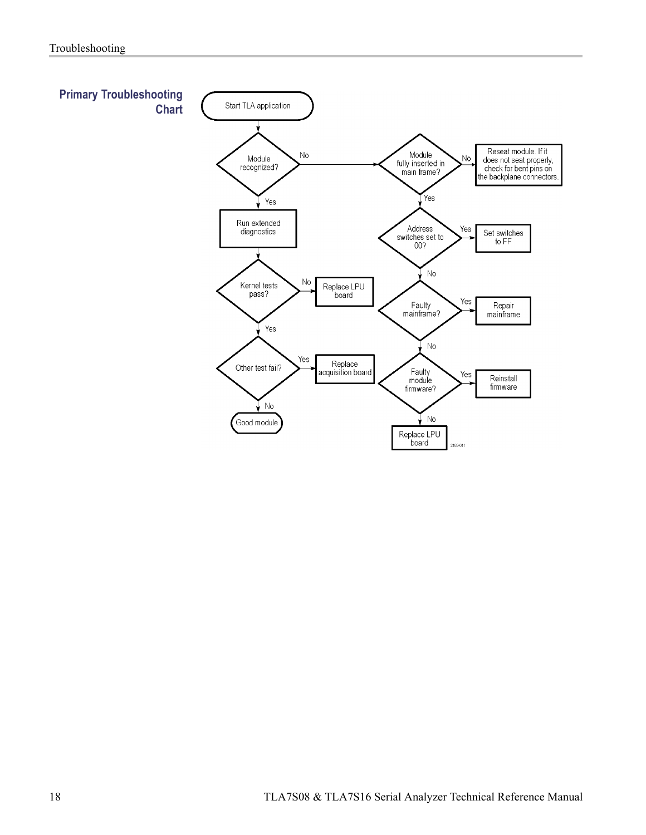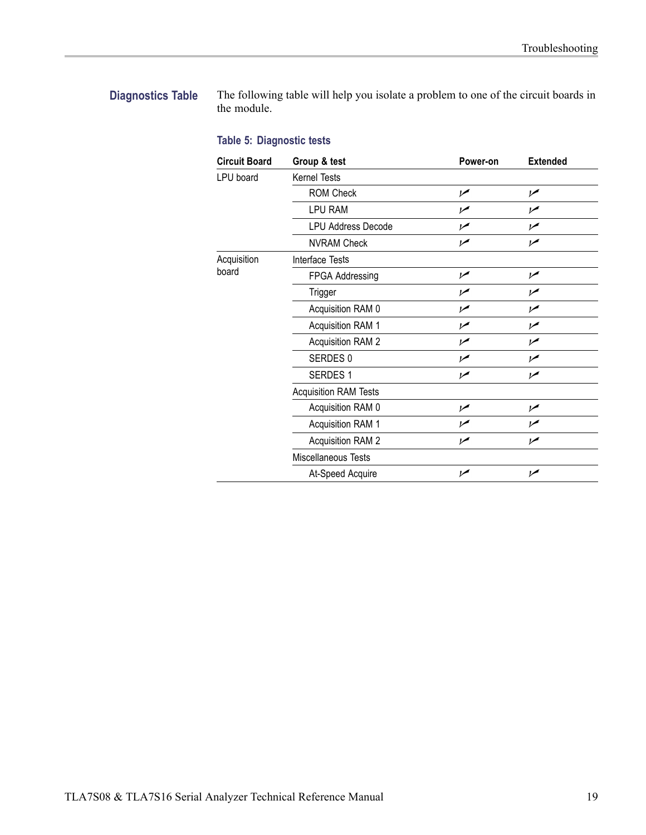#### <span id="page-32-0"></span>**Diagnostics Table** The following table will help you isolate a problem to one of the circuit boards in the module.

#### **Table 5: Diagnostic tests**

| <b>Circuit Board</b> | Group & test                 | Power-on       | <b>Extended</b> |  |  |  |
|----------------------|------------------------------|----------------|-----------------|--|--|--|
| LPU board            | <b>Kernel Tests</b>          |                |                 |  |  |  |
|                      | <b>ROM Check</b>             | سما            | ممرا            |  |  |  |
|                      | <b>LPU RAM</b>               | ممرا           | ممرا            |  |  |  |
|                      | <b>LPU Address Decode</b>    | مھرا           | ممرا            |  |  |  |
|                      | <b>NVRAM Check</b>           | مما            | ممرا            |  |  |  |
| Acquisition          | Interface Tests              |                |                 |  |  |  |
| board                | FPGA Addressing              | ممرا           | $\overline{v}$  |  |  |  |
|                      | Trigger                      | ممرا           | $\overline{V}$  |  |  |  |
|                      | Acquisition RAM 0            | ممرا           | ممرا            |  |  |  |
|                      | Acquisition RAM 1            | سما            | ممرا            |  |  |  |
|                      | <b>Acquisition RAM 2</b>     | مم             | ممرا            |  |  |  |
|                      | SERDES 0                     | مما            | ممرا            |  |  |  |
|                      | <b>SERDES 1</b>              | $\overline{v}$ | $\overline{v}$  |  |  |  |
|                      | <b>Acquisition RAM Tests</b> |                |                 |  |  |  |
|                      | Acquisition RAM 0            | $\overline{v}$ | $\overline{v}$  |  |  |  |
|                      | Acquisition RAM 1            | مما            | ممرا            |  |  |  |
|                      | <b>Acquisition RAM 2</b>     | $\overline{v}$ | ممرا            |  |  |  |
|                      | Miscellaneous Tests          |                |                 |  |  |  |
|                      | At-Speed Acquire             | ممر            | $\overline{v}$  |  |  |  |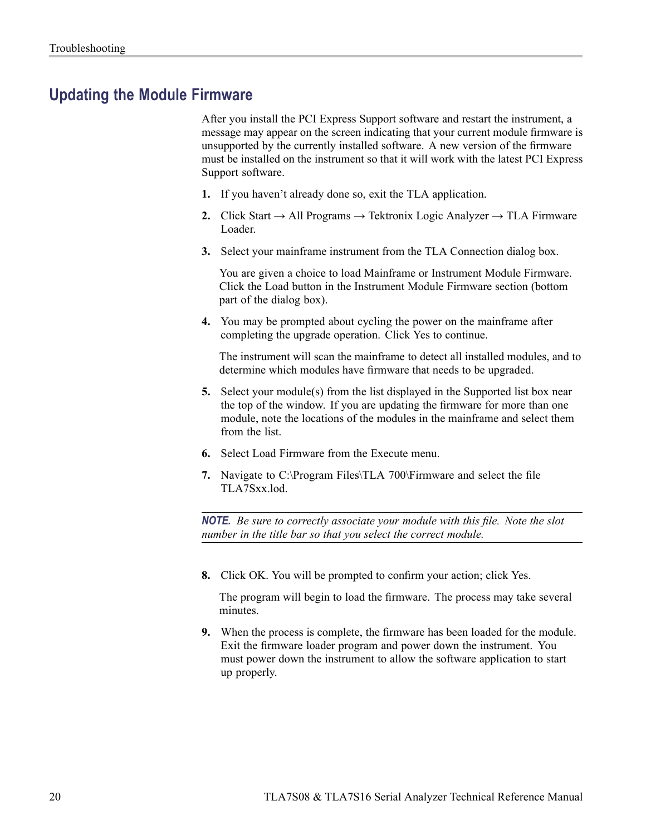### <span id="page-33-0"></span>**Updating the Module Firmware**

After you install the PCI Express Support software and restart the instrument, a message may appear on the screen indicating that your current module firmware is unsupported by the currently installed software. A new version of the firmware must be installed on the instrument so that it will work with the latest PCI Express Support software.

- **1.** If you haven't already done so, exit the TLA application.
- **2.** Click Start  $\rightarrow$  All Programs  $\rightarrow$  Tektronix Logic Analyzer  $\rightarrow$  TLA Firmware Loader.
- **3.** Select your mainframe instrument from the TLA Connection dialog box.

You are given a choice to load Mainframe or Instrument Module Firmware. Click the Load button in the Instrument Module Firmware section (bottom part of the dialog box).

**4.** You may be prompted about cycling the power on the mainframe after completing the upgrade operation. Click Yes to continue.

The instrument will scan the mainframe to detect all installed modules, and to determine which modules have firmware that needs to be upgraded.

- **5.** Select your module(s) from the list displayed in the Supported list box near the top of the window. If you are updating the firmware for more than one module, note the locations of the modules in the mainframe and select them from the list.
- **6.** Select Load Firmware from the Execute menu.
- **7.** Navigate to C:\Program Files\TLA 700\Firmware and select the file TLA7Sxx.lod.

*NOTE. Be sure to correctly associate your module with this file. Note the slot number in the title bar so that you select the correct module.*

**8.** Click OK. You will be prompted to confirm your action; click Yes.

The program will begin to load the firmware. The process may take several minutes.

**9.** When the process is complete, the firmware has been loaded for the module. Exit the firmware loader program and power down the instrument. You must power down the instrument to allow the software application to start up properly.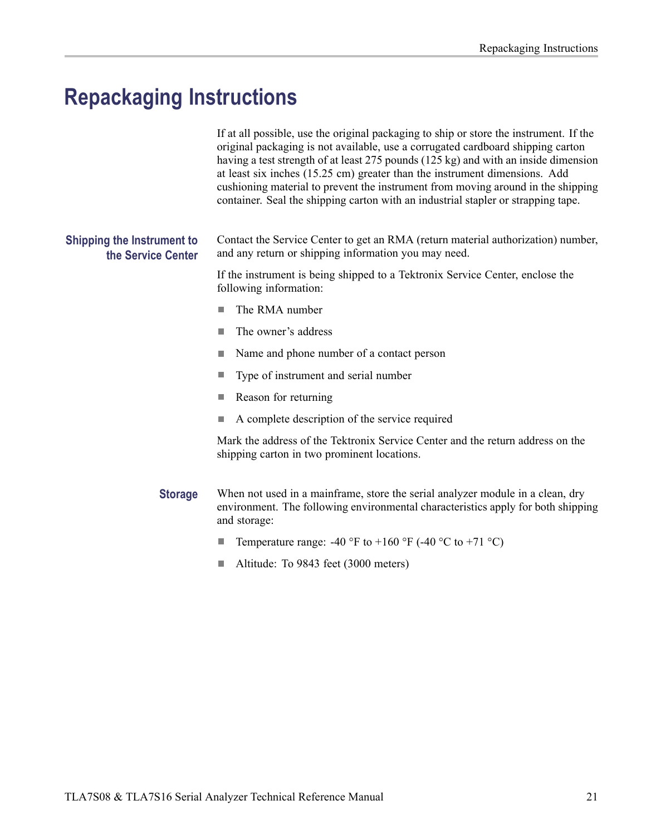## <span id="page-34-0"></span>**Repackaging Instructions**

|                                                         | If at all possible, use the original packaging to ship or store the instrument. If the<br>original packaging is not available, use a corrugated cardboard shipping carton<br>having a test strength of at least 275 pounds (125 kg) and with an inside dimension<br>at least six inches (15.25 cm) greater than the instrument dimensions. Add<br>cushioning material to prevent the instrument from moving around in the shipping<br>container. Seal the shipping carton with an industrial stapler or strapping tape. |  |  |  |  |
|---------------------------------------------------------|-------------------------------------------------------------------------------------------------------------------------------------------------------------------------------------------------------------------------------------------------------------------------------------------------------------------------------------------------------------------------------------------------------------------------------------------------------------------------------------------------------------------------|--|--|--|--|
| <b>Shipping the Instrument to</b><br>the Service Center | Contact the Service Center to get an RMA (return material authorization) number,<br>and any return or shipping information you may need.                                                                                                                                                                                                                                                                                                                                                                                |  |  |  |  |
|                                                         | If the instrument is being shipped to a Tektronix Service Center, enclose the<br>following information:                                                                                                                                                                                                                                                                                                                                                                                                                 |  |  |  |  |
|                                                         | The RMA number<br>H.                                                                                                                                                                                                                                                                                                                                                                                                                                                                                                    |  |  |  |  |
|                                                         | The owner's address                                                                                                                                                                                                                                                                                                                                                                                                                                                                                                     |  |  |  |  |
|                                                         | Name and phone number of a contact person                                                                                                                                                                                                                                                                                                                                                                                                                                                                               |  |  |  |  |
|                                                         | Type of instrument and serial number<br><b>College</b>                                                                                                                                                                                                                                                                                                                                                                                                                                                                  |  |  |  |  |
|                                                         | Reason for returning                                                                                                                                                                                                                                                                                                                                                                                                                                                                                                    |  |  |  |  |
|                                                         | A complete description of the service required                                                                                                                                                                                                                                                                                                                                                                                                                                                                          |  |  |  |  |
|                                                         | Mark the address of the Tektronix Service Center and the return address on the<br>shipping carton in two prominent locations.                                                                                                                                                                                                                                                                                                                                                                                           |  |  |  |  |
| <b>Storage</b>                                          | When not used in a mainframe, store the serial analyzer module in a clean, dry<br>environment. The following environmental characteristics apply for both shipping<br>and storage:                                                                                                                                                                                                                                                                                                                                      |  |  |  |  |
|                                                         | Temperature range: -40 °F to +160 °F (-40 °C to +71 °C)<br><b>College</b>                                                                                                                                                                                                                                                                                                                                                                                                                                               |  |  |  |  |
|                                                         | Altitude: To 9843 feet (3000 meters)<br>H.                                                                                                                                                                                                                                                                                                                                                                                                                                                                              |  |  |  |  |
|                                                         |                                                                                                                                                                                                                                                                                                                                                                                                                                                                                                                         |  |  |  |  |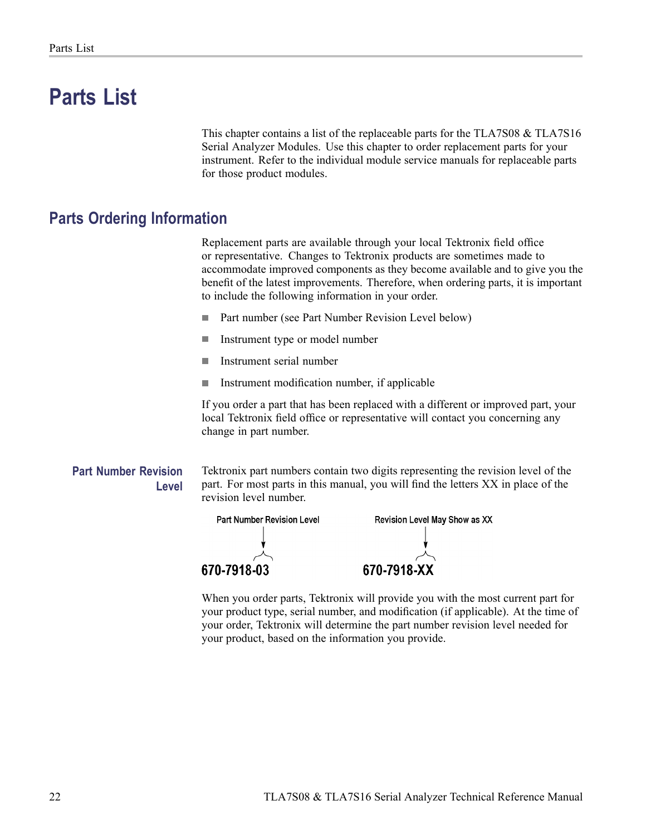## <span id="page-35-0"></span>**Parts List**

This chapter contains a list of the replaceable parts for the TLA7S08 & TLA7S16 Serial Analyzer Modules. Use this chapter to order replacement parts for your instrument. Refer to the individual module service manuals for replaceable parts for those product modules.

### **Parts Ordering Information**

Replacement parts are available through your local Tektronix field office or representative. Changes to Tektronix products are sometimes made to accommodate improved components as they become available and to give you the benefit of the latest improvements. Therefore, when ordering parts, it is important to include the following information in your order.

- $\overline{\phantom{a}}$ Part number (see Part Number Revision Level below)
- $\mathcal{L}_{\mathcal{A}}$ Instrument type or model number
- п Instrument serial number
- п Instrument modification number, if applicable

If you order a part that has been replaced with a different or improved part, your local Tektronix field office or representative will contact you concerning any change in part number.

#### **Part Number Revision Level**

Tektronix part numbers contain two digits representing the revision level of the part. For most parts in this manual, you will find the letters XX in place of the revision level number.



When you order parts, Tektronix will provide you with the most current part for your product type, serial number, and modification (if applicable). At the time of your order, Tektronix will determine the part number revision level needed for your product, based on the information you provide.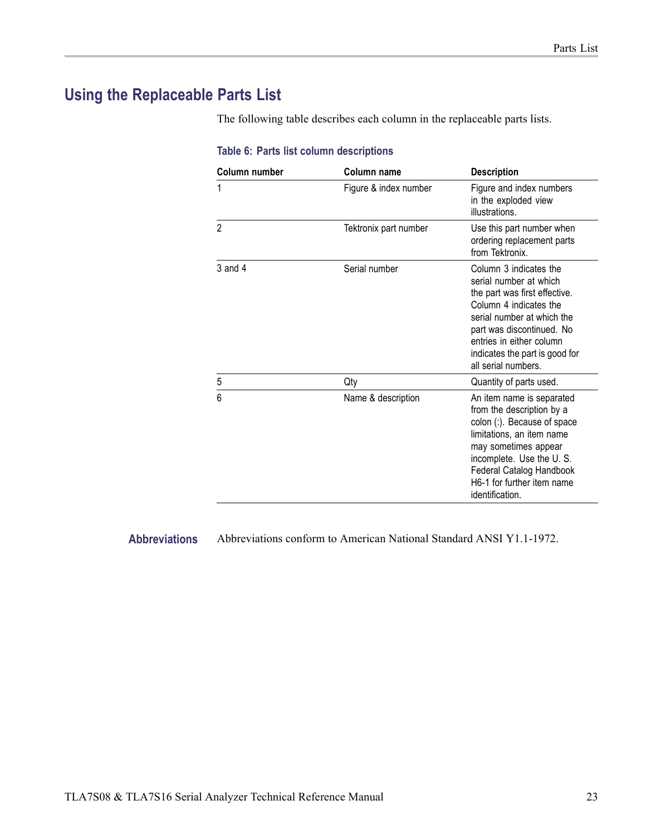### <span id="page-36-0"></span>**Using the Replaceable Parts List**

The following table describes each column in the replaceable parts lists.

| Column number  | Column name           | <b>Description</b>                                                                                                                                                                                                                                          |
|----------------|-----------------------|-------------------------------------------------------------------------------------------------------------------------------------------------------------------------------------------------------------------------------------------------------------|
| 1              | Figure & index number | Figure and index numbers<br>in the exploded view<br>illustrations.                                                                                                                                                                                          |
| $\overline{2}$ | Tektronix part number | Use this part number when<br>ordering replacement parts<br>from Tektronix.                                                                                                                                                                                  |
| $3$ and $4$    | Serial number         | Column 3 indicates the<br>serial number at which<br>the part was first effective.<br>Column 4 indicates the<br>serial number at which the<br>part was discontinued. No<br>entries in either column<br>indicates the part is good for<br>all serial numbers. |
| 5              | Qty                   | Quantity of parts used.                                                                                                                                                                                                                                     |
| 6              | Name & description    | An item name is separated<br>from the description by a<br>colon (:). Because of space<br>limitations, an item name<br>may sometimes appear<br>incomplete. Use the U.S.<br>Federal Catalog Handbook<br>H6-1 for further item name<br>identification.         |

#### **Table 6: Parts list column descriptions**

**Abbreviations** Abbreviations conform to American National Standard ANSI Y1.1-1972.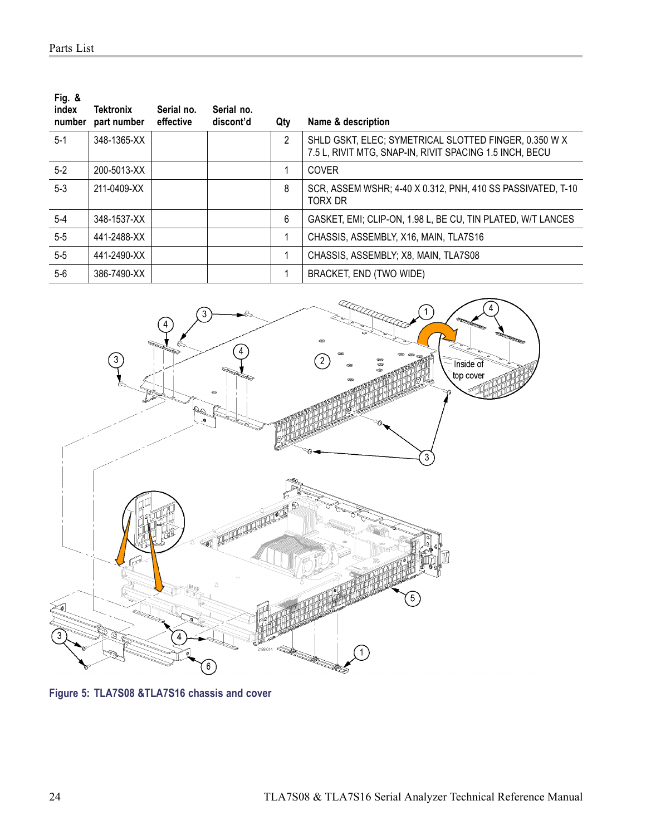<span id="page-37-0"></span>

| Fig. $8$<br>index<br>number | Tektronix<br>part number | Serial no.<br>effective | Serial no.<br>discont'd | Qty            | Name & description                                                                                               |
|-----------------------------|--------------------------|-------------------------|-------------------------|----------------|------------------------------------------------------------------------------------------------------------------|
| $5-1$                       | 348-1365-XX              |                         |                         | $\overline{2}$ | SHLD GSKT, ELEC; SYMETRICAL SLOTTED FINGER, 0.350 W X<br>7.5 L, RIVIT MTG, SNAP-IN, RIVIT SPACING 1.5 INCH, BECU |
| $5-2$                       | 200-5013-XX              |                         |                         |                | <b>COVER</b>                                                                                                     |
| $5-3$                       | 211-0409-XX              |                         |                         | 8              | SCR, ASSEM WSHR; 4-40 X 0.312, PNH, 410 SS PASSIVATED, T-10<br>TORX DR                                           |
| $5-4$                       | 348-1537-XX              |                         |                         | 6              | GASKET, EMI; CLIP-ON, 1.98 L, BE CU, TIN PLATED, W/T LANCES                                                      |
| $5-5$                       | 441-2488-XX              |                         |                         |                | CHASSIS, ASSEMBLY, X16, MAIN, TLA7S16                                                                            |
| $5-5$                       | 441-2490-XX              |                         |                         |                | CHASSIS, ASSEMBLY; X8, MAIN, TLA7S08                                                                             |
| 5-6                         | 386-7490-XX              |                         |                         |                | BRACKET, END (TWO WIDE)                                                                                          |



**Figure 5: TLA7S08 &TLA7S16 chassis and cover**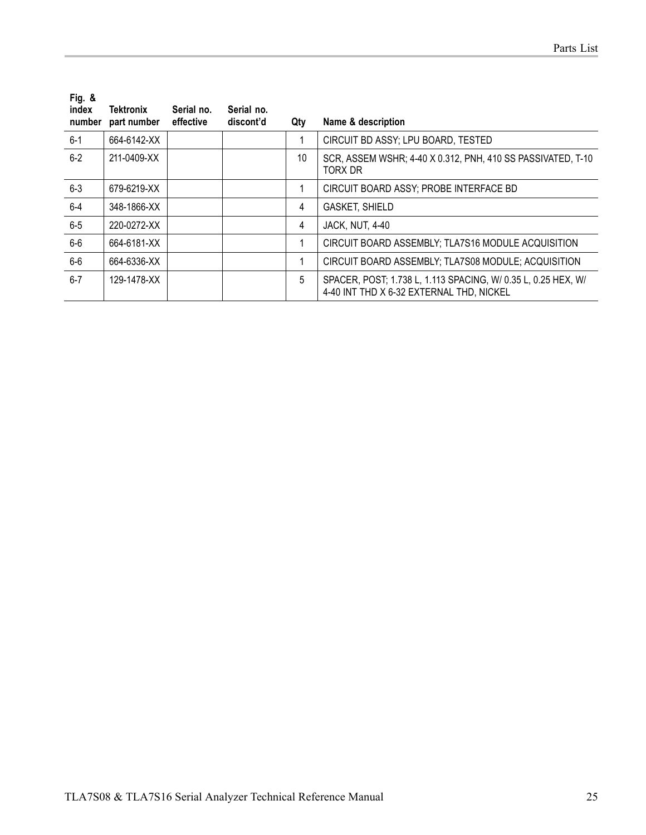| Fig. $8$<br>index<br>number | Tektronix<br>part number | Serial no.<br>effective | Serial no.<br>discont'd | Qty | Name & description                                                                                        |
|-----------------------------|--------------------------|-------------------------|-------------------------|-----|-----------------------------------------------------------------------------------------------------------|
| $6 - 1$                     | 664-6142-XX              |                         |                         |     | CIRCUIT BD ASSY; LPU BOARD, TESTED                                                                        |
| $6-2$                       | 211-0409-XX              |                         |                         | 10  | SCR, ASSEM WSHR; 4-40 X 0.312, PNH, 410 SS PASSIVATED, T-10<br>TORX DR                                    |
| $6-3$                       | 679-6219-XX              |                         |                         |     | CIRCUIT BOARD ASSY; PROBE INTERFACE BD                                                                    |
| 6-4                         | 348-1866-XX              |                         |                         | 4   | <b>GASKET, SHIELD</b>                                                                                     |
| $6-5$                       | 220-0272-XX              |                         |                         | 4   | <b>JACK, NUT, 4-40</b>                                                                                    |
| $6-6$                       | 664-6181-XX              |                         |                         |     | CIRCUIT BOARD ASSEMBLY; TLA7S16 MODULE ACQUISITION                                                        |
| $6-6$                       | 664-6336-XX              |                         |                         |     | CIRCUIT BOARD ASSEMBLY; TLA7S08 MODULE; ACQUISITION                                                       |
| $6 - 7$                     | 129-1478-XX              |                         |                         | 5   | SPACER, POST; 1.738 L, 1.113 SPACING, W/ 0.35 L, 0.25 HEX, W/<br>4-40 INT THD X 6-32 EXTERNAL THD, NICKEL |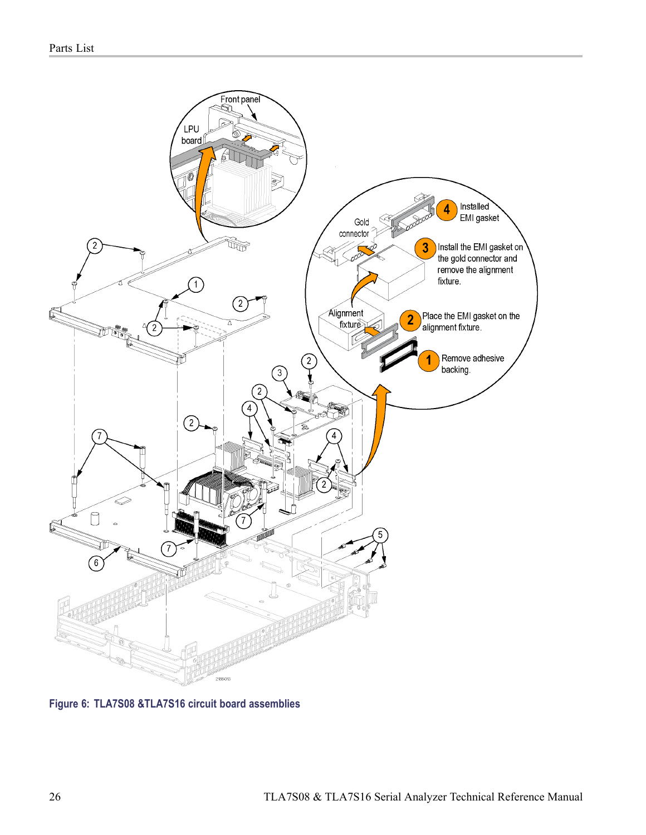<span id="page-39-0"></span>

**Figure 6: TLA7S08 &TLA7S16 circuit board assemblies**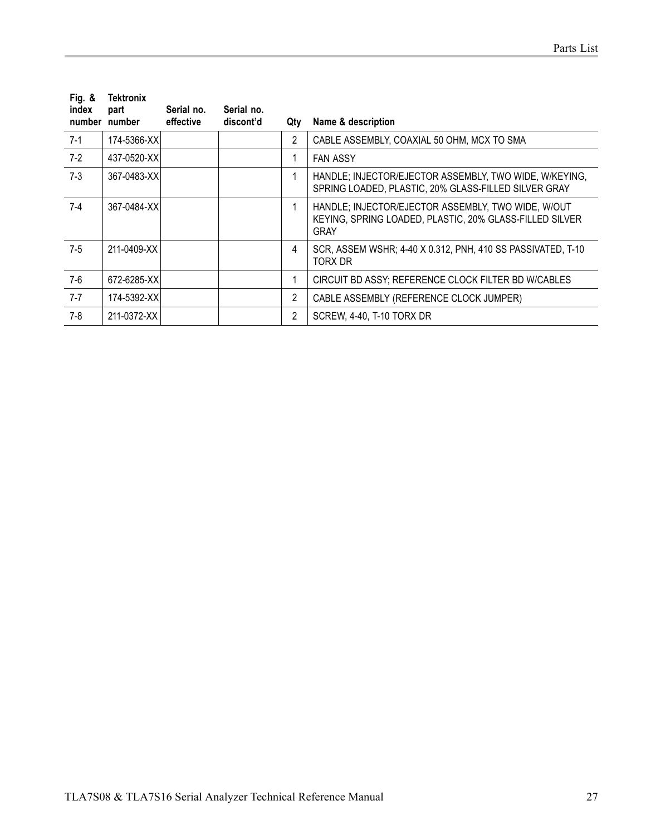| Fig. $8$<br>index | Tektronix<br>part | Serial no. | Serial no. |     |                                                                                                                              |
|-------------------|-------------------|------------|------------|-----|------------------------------------------------------------------------------------------------------------------------------|
|                   | number number     | effective  | discont'd  | Qtv | Name & description                                                                                                           |
| $7-1$             | 174-5366-XXI      |            |            | 2   | CABLE ASSEMBLY, COAXIAL 50 OHM, MCX TO SMA                                                                                   |
| $7-2$             | 437-0520-XXI      |            |            |     | <b>FAN ASSY</b>                                                                                                              |
| $7-3$             | 367-0483-XXI      |            |            |     | HANDLE; INJECTOR/EJECTOR ASSEMBLY, TWO WIDE, W/KEYING,<br>SPRING LOADED, PLASTIC, 20% GLASS-FILLED SILVER GRAY               |
| $7-4$             | 367-0484-XX       |            |            | 1   | HANDLE; INJECTOR/EJECTOR ASSEMBLY, TWO WIDE, W/OUT<br>KEYING, SPRING LOADED, PLASTIC, 20% GLASS-FILLED SILVER<br><b>GRAY</b> |
| $7-5$             | 211-0409-XX       |            |            | 4   | SCR, ASSEM WSHR; 4-40 X 0.312, PNH, 410 SS PASSIVATED, T-10<br>TORX DR                                                       |
| $7-6$             | 672-6285-XX       |            |            | 1   | CIRCUIT BD ASSY; REFERENCE CLOCK FILTER BD W/CABLES                                                                          |
| $7 - 7$           | 174-5392-XXI      |            |            | 2   | CABLE ASSEMBLY (REFERENCE CLOCK JUMPER)                                                                                      |
| 7-8               | 211-0372-XX       |            |            | 2   | SCREW, 4-40, T-10 TORX DR                                                                                                    |